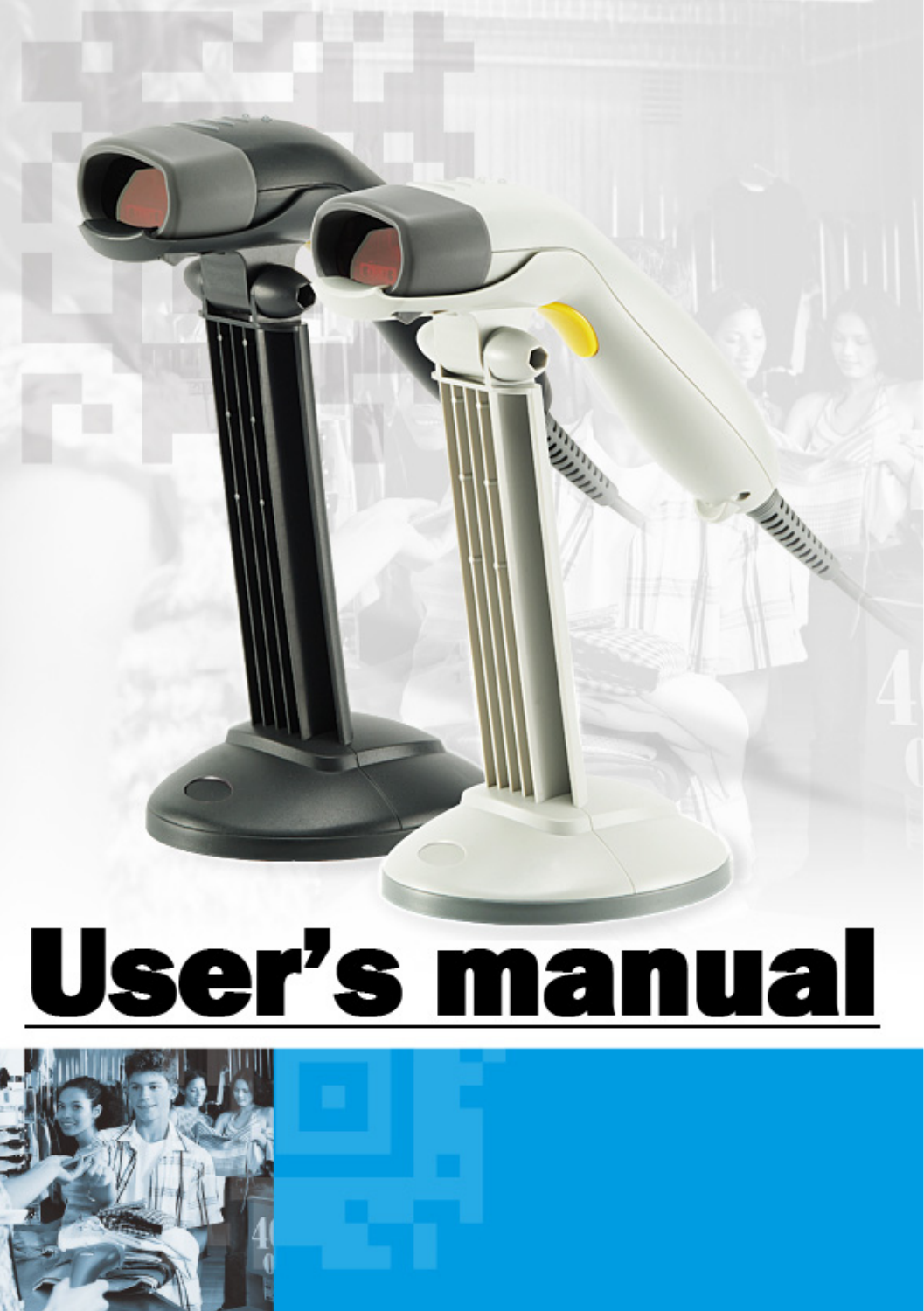

ining the

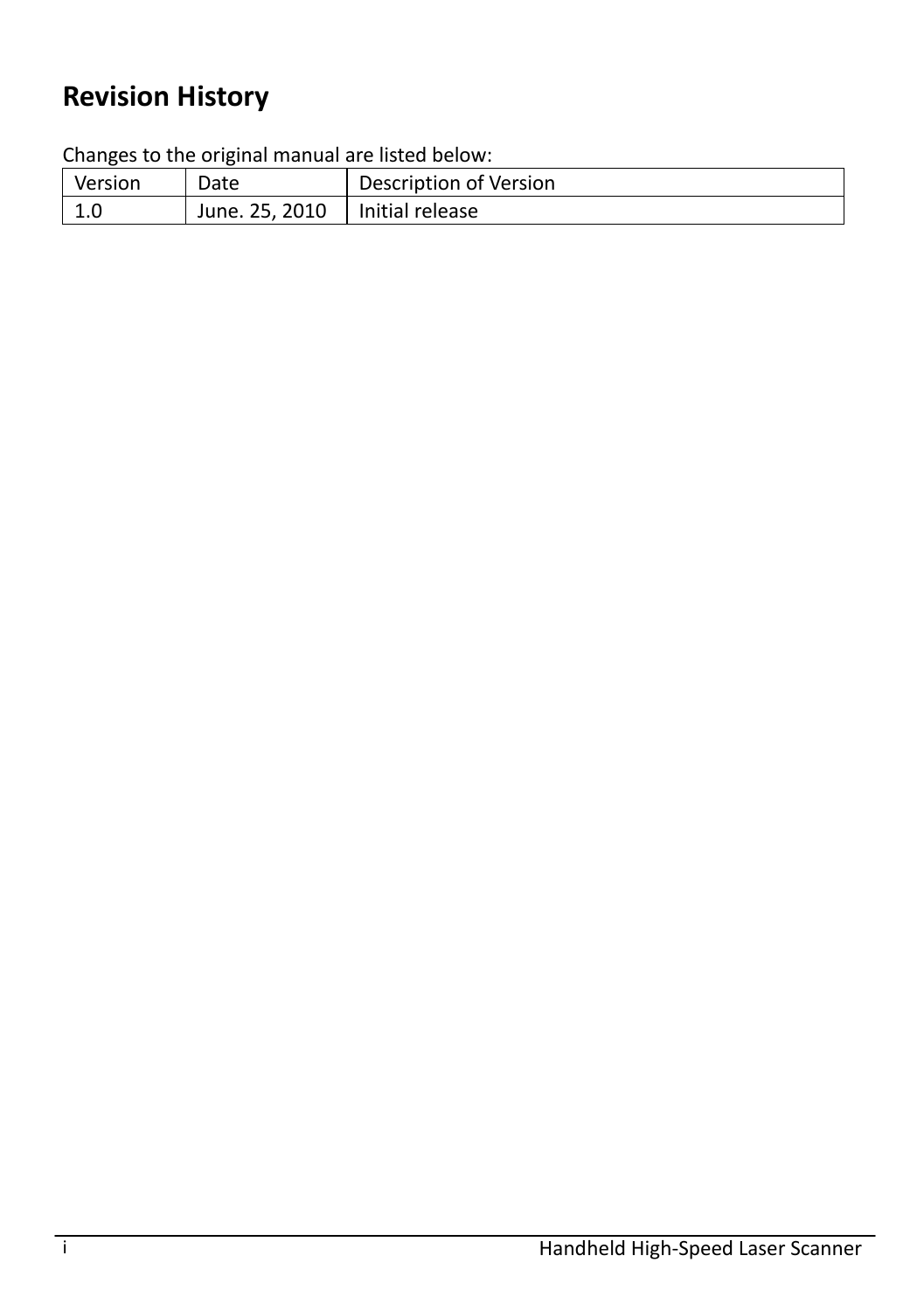## **Revision History**

Changes to the original manual are listed below:

| Version | Date           | Description of Version |
|---------|----------------|------------------------|
| 1.0     | June. 25, 2010 | Initial release        |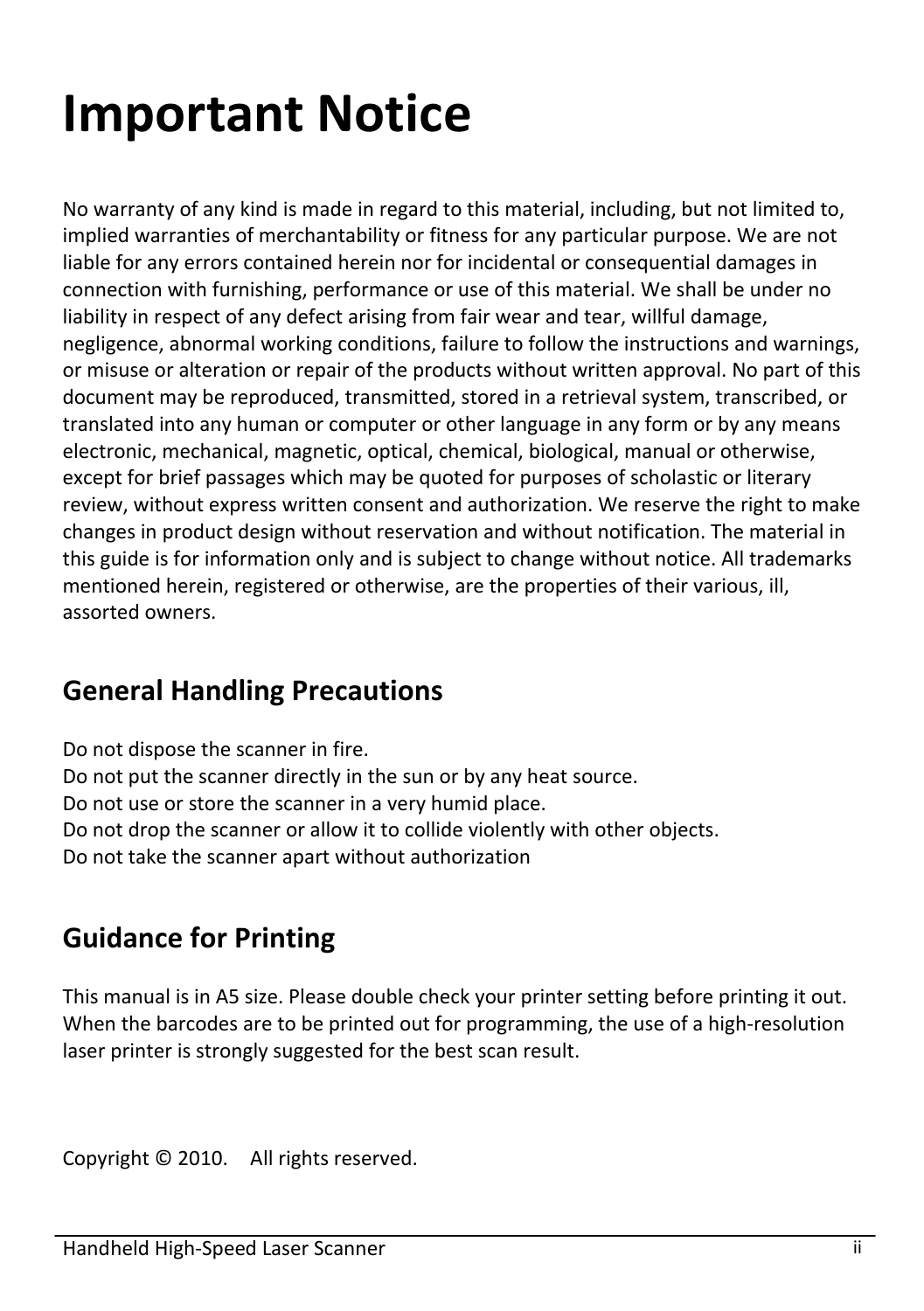# <span id="page-3-0"></span>**Important Notice**

No warranty of any kind is made in regard to this material, including, but not limited to, implied warranties of merchantability or fitness for any particular purpose. We are not liable for any errors contained herein nor for incidental or consequential damages in connection with furnishing, performance or use of this material. We shall be under no liability in respect of any defect arising from fair wear and tear, willful damage, negligence, abnormal working conditions, failure to follow the instructions and warnings, or misuse or alteration or repair of the products without written approval. No part of this document may be reproduced, transmitted, stored in a retrieval system, transcribed, or translated into any human or computer or other language in any form or by any means electronic, mechanical, magnetic, optical, chemical, biological, manual or otherwise, except for brief passages which may be quoted for purposes of scholastic or literary review, without express written consent and authorization. We reserve the right to make changes in product design without reservation and without notification. The material in this guide is for information only and is subject to change without notice. All trademarks mentioned herein, registered or otherwise, are the properties of their various, ill, assorted owners.

## **General Handling Precautions**

Do not dispose the scanner in fire.

Do not put the scanner directly in the sun or by any heat source.

Do not use or store the scanner in a very humid place.

Do not drop the scanner or allow it to collide violently with other objects.

Do not take the scanner apart without authorization

### **Guidance for Printing**

This manual is in A5 size. Please double check your printer setting before printing it out. When the barcodes are to be printed out for programming, the use of a high-resolution laser printer is strongly suggested for the best scan result.

Copyright © 2010. All rights reserved.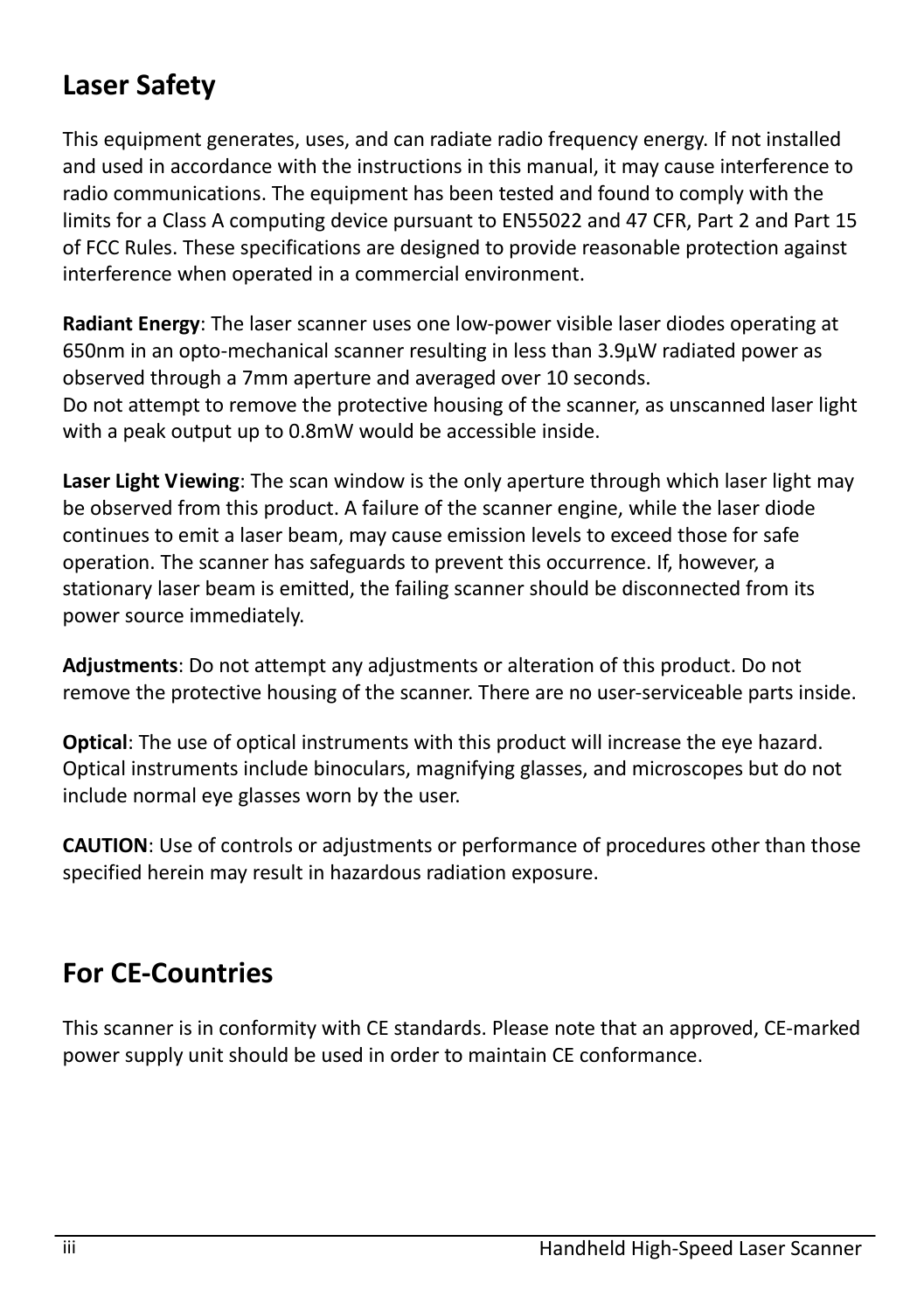## **Laser Safety**

This equipment generates, uses, and can radiate radio frequency energy. If not installed and used in accordance with the instructions in this manual, it may cause interference to radio communications. The equipment has been tested and found to comply with the limits for a Class A computing device pursuant to EN55022 and 47 CFR, Part 2 and Part 15 of FCC Rules. These specifications are designed to provide reasonable protection against interference when operated in a commercial environment.

**Radiant Energy**: The laser scanner uses one low-power visible laser diodes operating at 650nm in an opto-mechanical scanner resulting in less than 3.9μW radiated power as observed through a 7mm aperture and averaged over 10 seconds. Do not attempt to remove the protective housing of the scanner, as unscanned laser light with a peak output up to 0.8mW would be accessible inside.

**Laser Light Viewing**: The scan window is the only aperture through which laser light may be observed from this product. A failure of the scanner engine, while the laser diode continues to emit a laser beam, may cause emission levels to exceed those for safe operation. The scanner has safeguards to prevent this occurrence. If, however, a stationary laser beam is emitted, the failing scanner should be disconnected from its power source immediately.

**Adjustments**: Do not attempt any adjustments or alteration of this product. Do not remove the protective housing of the scanner. There are no user-serviceable parts inside.

**Optical**: The use of optical instruments with this product will increase the eye hazard. Optical instruments include binoculars, magnifying glasses, and microscopes but do not include normal eye glasses worn by the user.

**CAUTION**: Use of controls or adjustments or performance of procedures other than those specified herein may result in hazardous radiation exposure.

### **For CE-Countries**

This scanner is in conformity with CE standards. Please note that an approved, CE-marked power supply unit should be used in order to maintain CE conformance.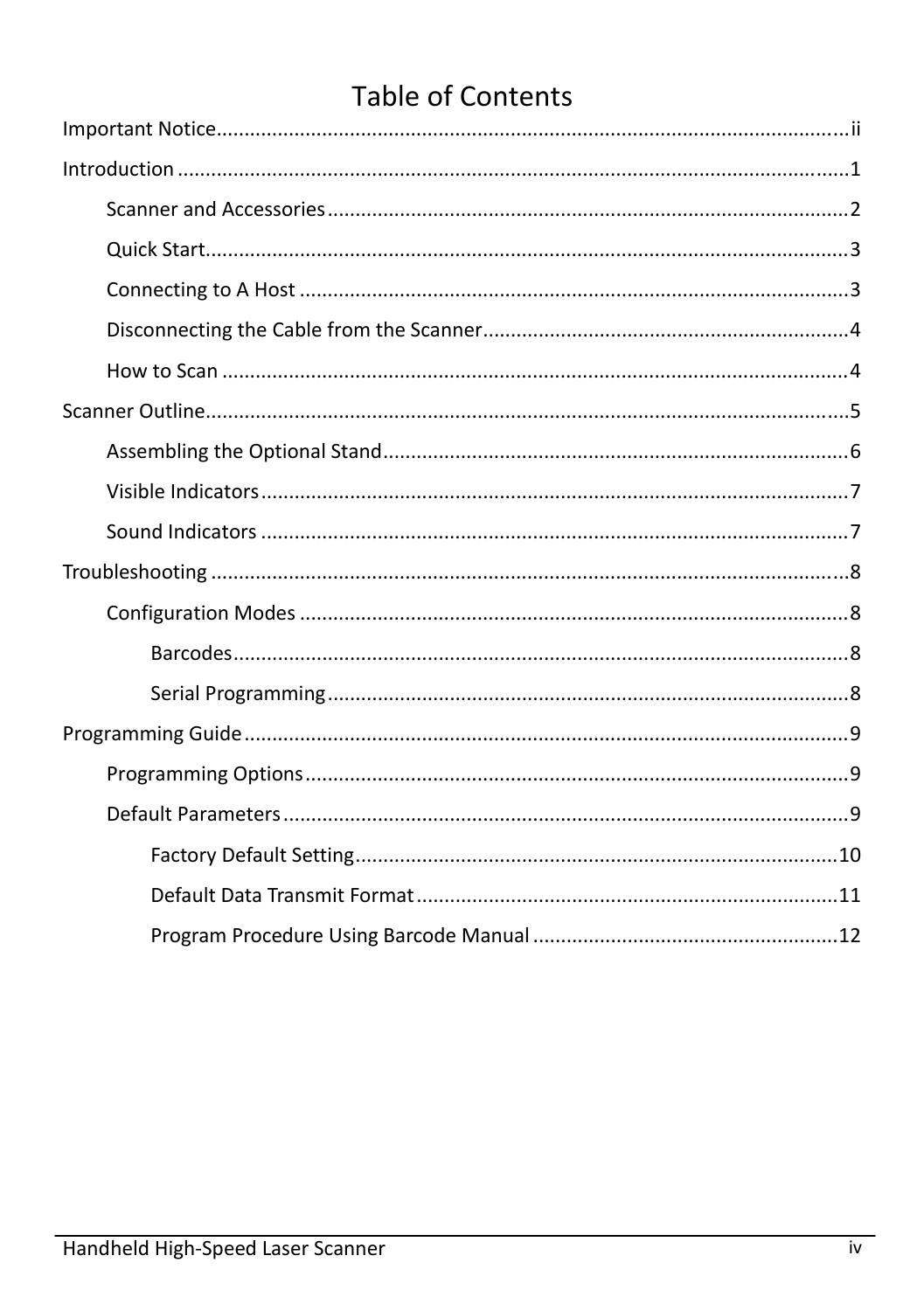## **Table of Contents**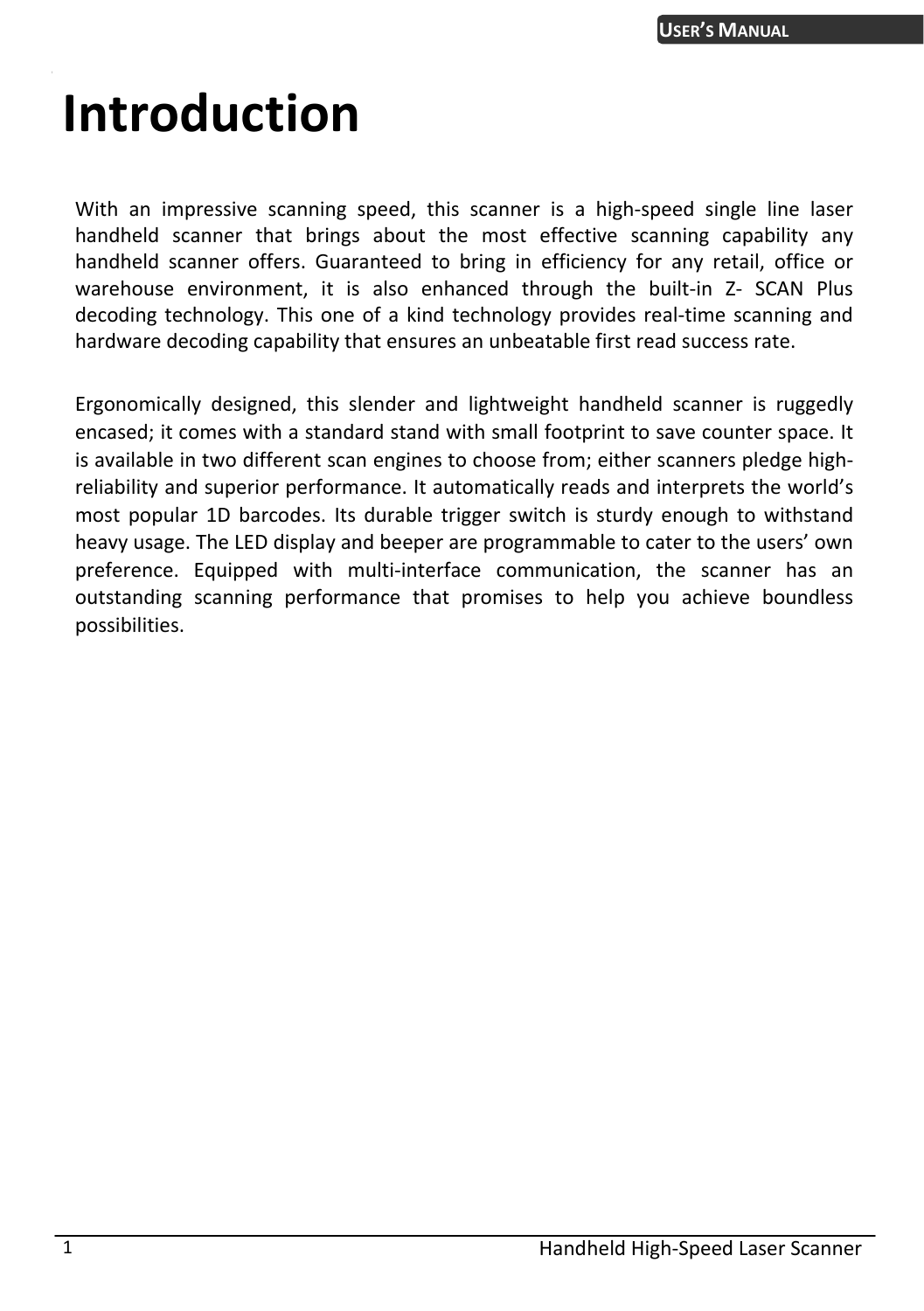# <span id="page-6-0"></span>**Introduction**

With an impressive scanning speed, this scanner is a high-speed single line laser handheld scanner that brings about the most effective scanning capability any handheld scanner offers. Guaranteed to bring in efficiency for any retail, office or warehouse environment, it is also enhanced through the built-in Z- SCAN Plus decoding technology. This one of a kind technology provides real-time scanning and hardware decoding capability that ensures an unbeatable first read success rate.

Ergonomically designed, this slender and lightweight handheld scanner is ruggedly encased; it comes with a standard stand with small footprint to save counter space. It is available in two different scan engines to choose from; either scanners pledge highreliability and superior performance. It automatically reads and interprets the world's most popular 1D barcodes. Its durable trigger switch is sturdy enough to withstand heavy usage. The LED display and beeper are programmable to cater to the users' own preference. Equipped with multi-interface communication, the scanner has an outstanding scanning performance that promises to help you achieve boundless possibilities.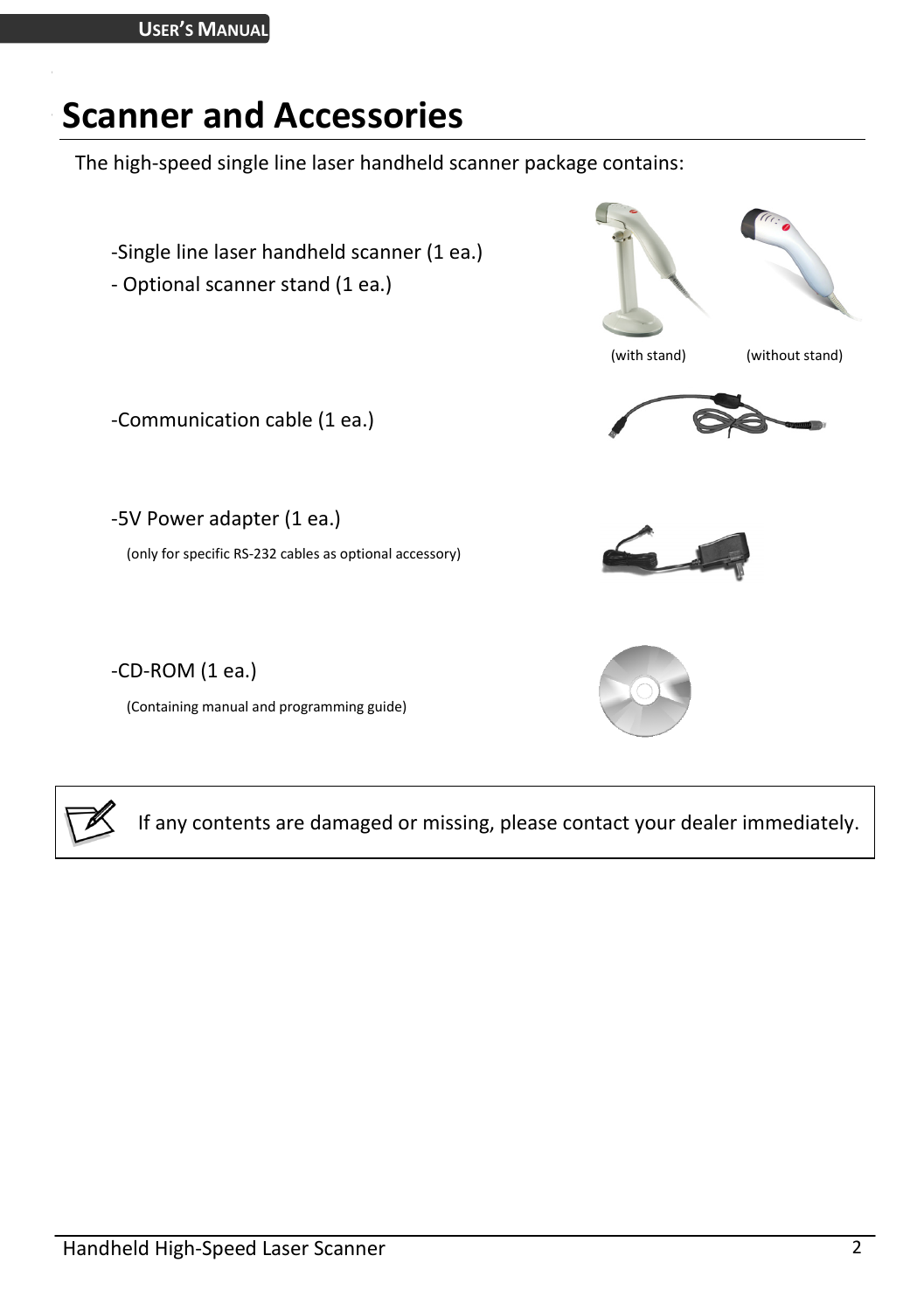## <span id="page-7-0"></span>**Scanner and Accessories**

The high-speed single line laser handheld scanner package contains:





If any contents are damaged or missing, please contact your dealer immediately.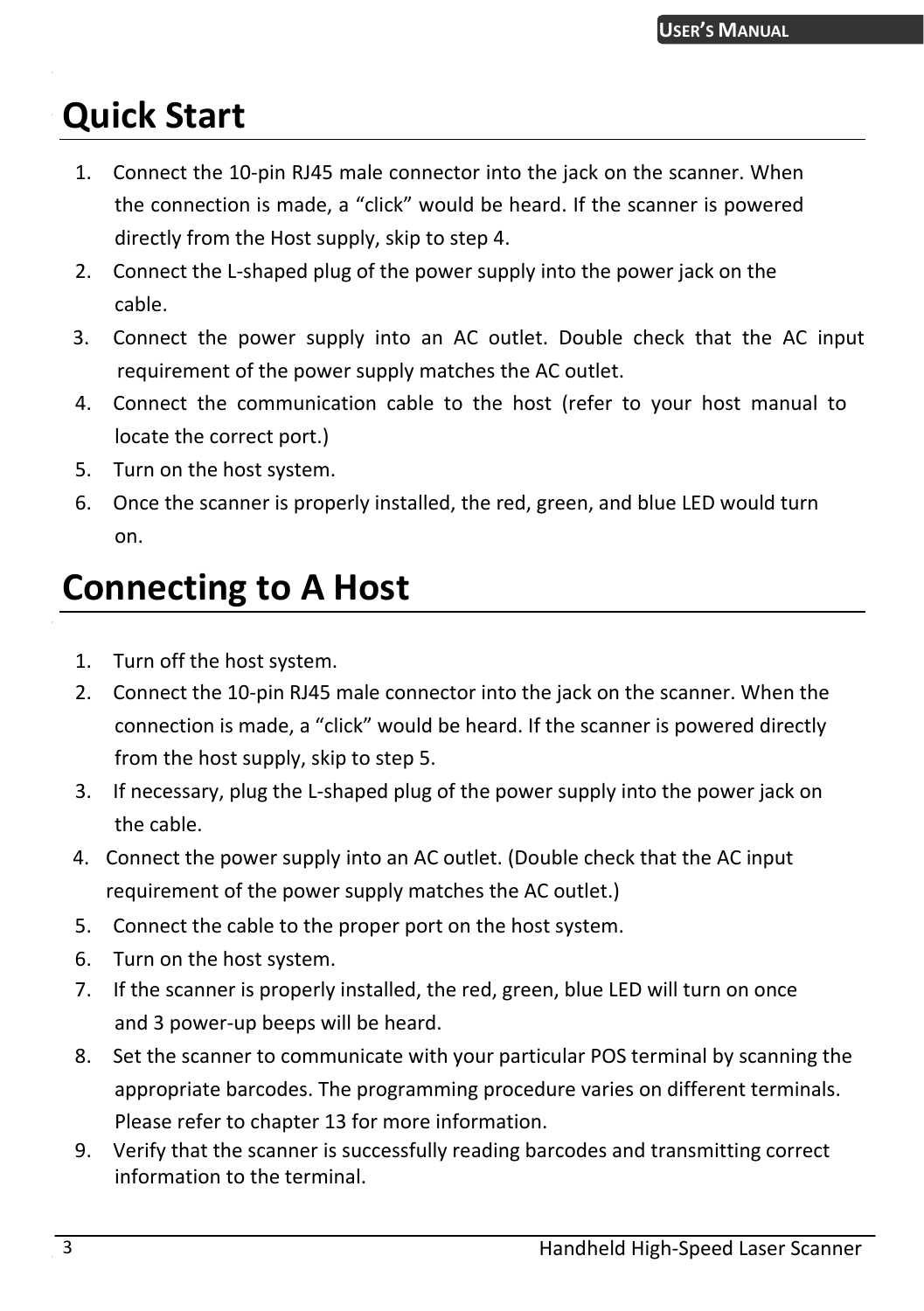# <span id="page-8-0"></span>**Quick Start**

- 1. Connect the 10-pin RJ45 male connector into the jack on the scanner. When the connection is made, a "click" would be heard. If the scanner is powered directly from the Host supply, skip to step 4.
- 2. Connect the L-shaped plug of the power supply into the power jack on the cable.
- 3. Connect the power supply into an AC outlet. Double check that the AC input requirement of the power supply matches the AC outlet.
- 4. Connect the communication cable to the host (refer to your host manual to locate the correct port.)
- 5. Turn on the host system.
- 6. Once the scanner is properly installed, the red, green, and blue LED would turn on.

## <span id="page-8-1"></span>**Connecting to A Host**

- 1. Turn off the host system.
- 2. Connect the 10-pin RJ45 male connector into the jack on the scanner. When the connection is made, a "click" would be heard. If the scanner is powered directly from the host supply, skip to step 5.
- 3. If necessary, plug the L-shaped plug of the power supply into the power jack on the cable.
- 4. Connect the power supply into an AC outlet. (Double check that the AC input requirement of the power supply matches the AC outlet.)
- 5. Connect the cable to the proper port on the host system.
- 6. Turn on the host system.
- 7. If the scanner is properly installed, the red, green, blue LED will turn on once and 3 power-up beeps will be heard.
- 8. Set the scanner to communicate with your particular POS terminal by scanning the appropriate barcodes. The programming procedure varies on different terminals. Please refer to chapter 13 for more information.
- 9. Verify that the scanner is successfully reading barcodes and transmitting correct information to the terminal.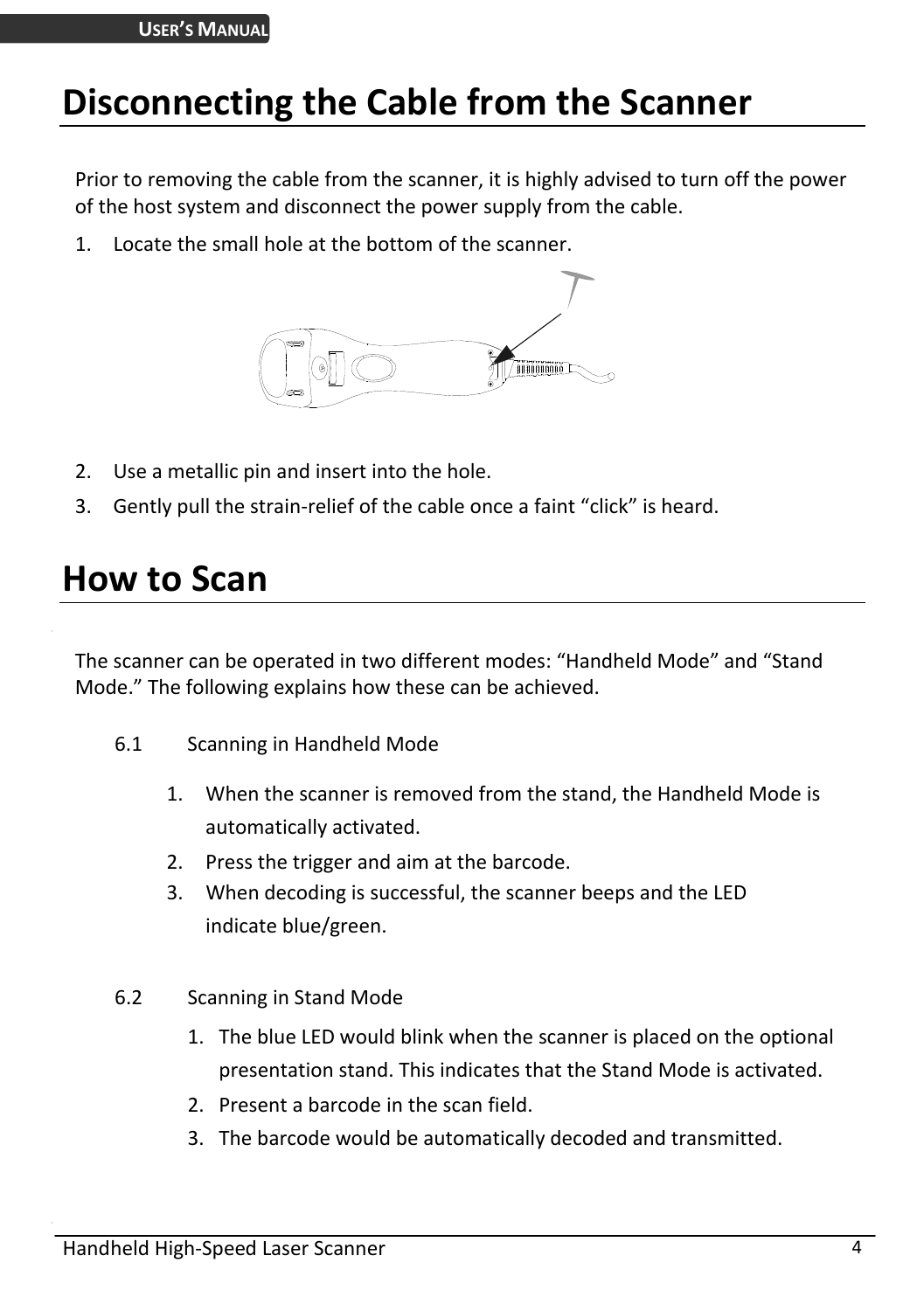## <span id="page-9-0"></span>**Disconnecting the Cable from the Scanner**

Prior to removing the cable from the scanner, it is highly advised to turn off the power of the host system and disconnect the power supply from the cable.

1. Locate the small hole at the bottom of the scanner.



- 2. Use a metallic pin and insert into the hole.
- 3. Gently pull the strain-relief of the cable once a faint "click" is heard.

## <span id="page-9-1"></span>**How to Scan**

The scanner can be operated in two different modes: "Handheld Mode" and "Stand Mode." The following explains how these can be achieved.

- 6.1 Scanning in Handheld Mode
	- 1. When the scanner is removed from the stand, the Handheld Mode is automatically activated.
	- 2. Press the trigger and aim at the barcode.
	- 3. When decoding is successful, the scanner beeps and the LED indicate blue/green.
- 6.2 Scanning in Stand Mode
	- 1. The blue LED would blink when the scanner is placed on the optional presentation stand. This indicates that the Stand Mode is activated.
	- 2. Present a barcode in the scan field.
	- 3. The barcode would be automatically decoded and transmitted.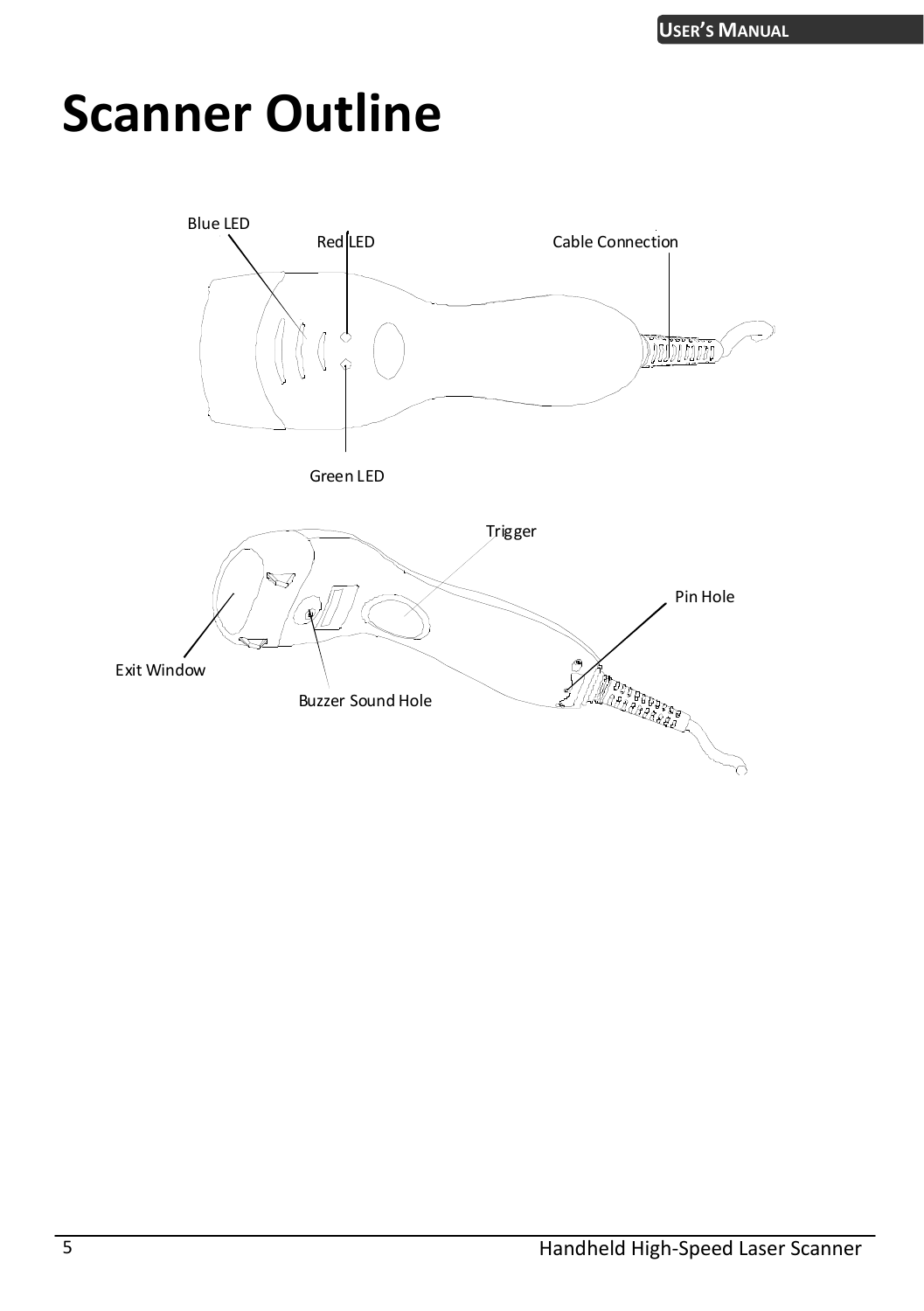# <span id="page-10-0"></span>**Scanner Outline**

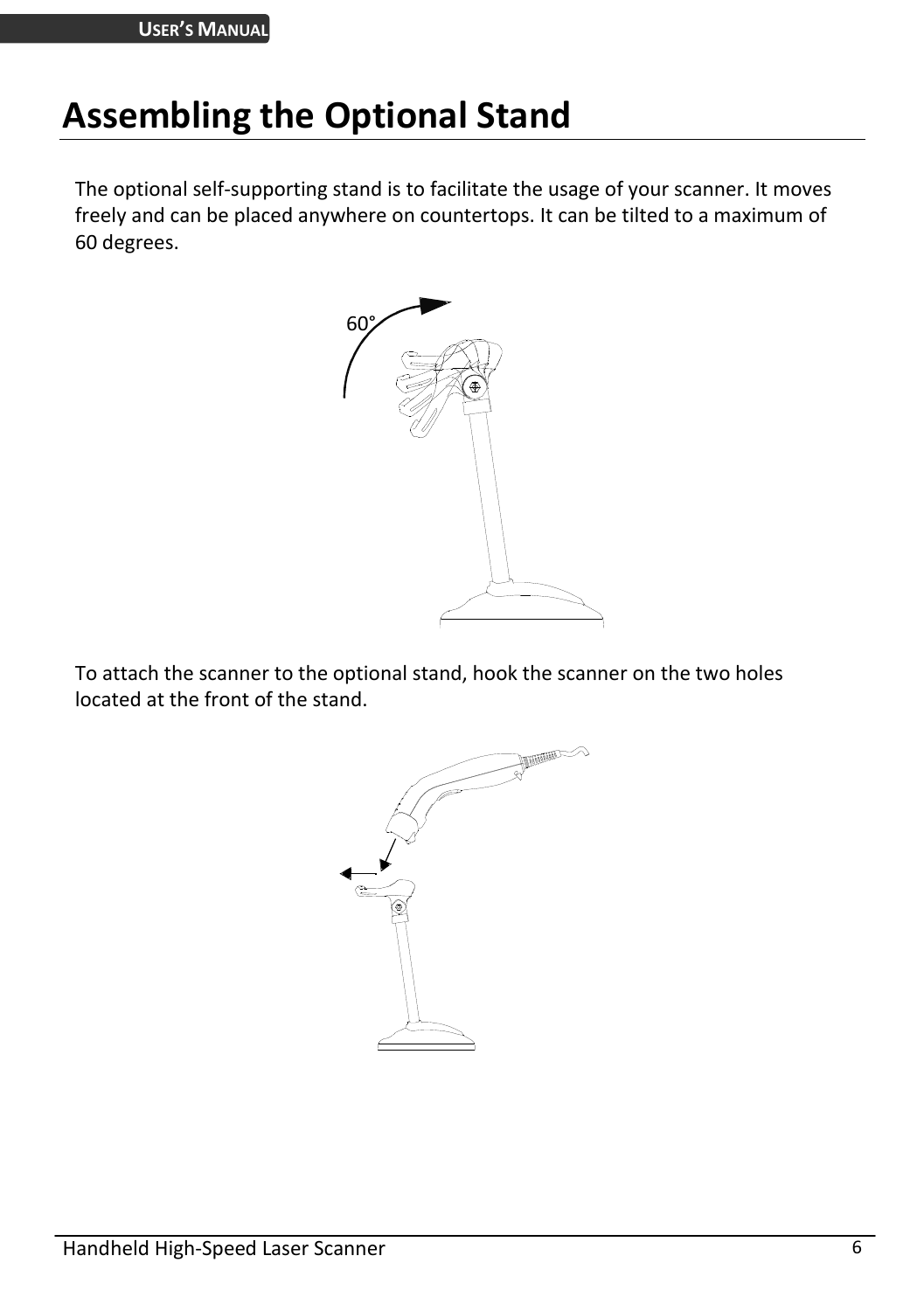# <span id="page-11-0"></span>**Assembling the Optional Stand**

The optional self-supporting stand is to facilitate the usage of your scanner. It moves freely and can be placed anywhere on countertops. It can be tilted to a maximum of 60 degrees.



To attach the scanner to the optional stand, hook the scanner on the two holes located at the front of the stand.

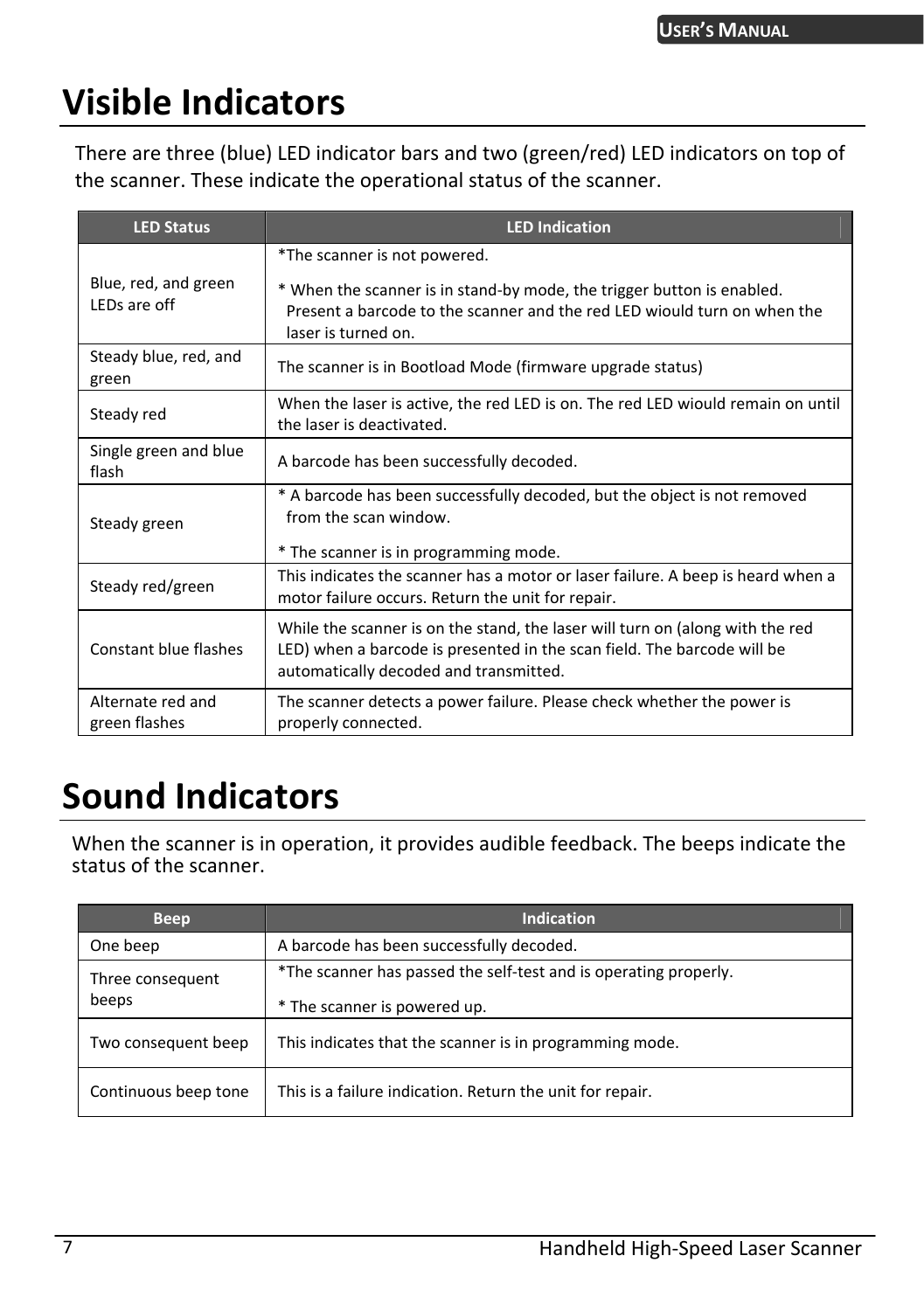# <span id="page-12-0"></span>**Visible Indicators**

There are three (blue) LED indicator bars and two (green/red) LED indicators on top of the scanner. These indicate the operational status of the scanner.

| <b>LED Status</b>                    | <b>LED Indication</b>                                                                                                                                                                              |
|--------------------------------------|----------------------------------------------------------------------------------------------------------------------------------------------------------------------------------------------------|
|                                      | *The scanner is not powered.                                                                                                                                                                       |
| Blue, red, and green<br>LEDs are off | * When the scanner is in stand-by mode, the trigger button is enabled.<br>Present a barcode to the scanner and the red LED wiould turn on when the<br>laser is turned on.                          |
| Steady blue, red, and<br>green       | The scanner is in Bootload Mode (firmware upgrade status)                                                                                                                                          |
| Steady red                           | When the laser is active, the red LED is on. The red LED wiould remain on until<br>the laser is deactivated.                                                                                       |
| Single green and blue<br>flash       | A barcode has been successfully decoded.                                                                                                                                                           |
| Steady green                         | * A barcode has been successfully decoded, but the object is not removed<br>from the scan window.<br>* The scanner is in programming mode.                                                         |
| Steady red/green                     | This indicates the scanner has a motor or laser failure. A beep is heard when a<br>motor failure occurs. Return the unit for repair.                                                               |
| Constant blue flashes                | While the scanner is on the stand, the laser will turn on (along with the red<br>LED) when a barcode is presented in the scan field. The barcode will be<br>automatically decoded and transmitted. |
| Alternate red and<br>green flashes   | The scanner detects a power failure. Please check whether the power is<br>properly connected.                                                                                                      |

## <span id="page-12-1"></span>**Sound Indicators**

When the scanner is in operation, it provides audible feedback. The beeps indicate the status of the scanner.

| <b>Beep</b>               | <b>Indication</b>                                                                                |
|---------------------------|--------------------------------------------------------------------------------------------------|
| One beep                  | A barcode has been successfully decoded.                                                         |
| Three consequent<br>beeps | *The scanner has passed the self-test and is operating properly.<br>* The scanner is powered up. |
| Two consequent beep       | This indicates that the scanner is in programming mode.                                          |
| Continuous beep tone      | This is a failure indication. Return the unit for repair.                                        |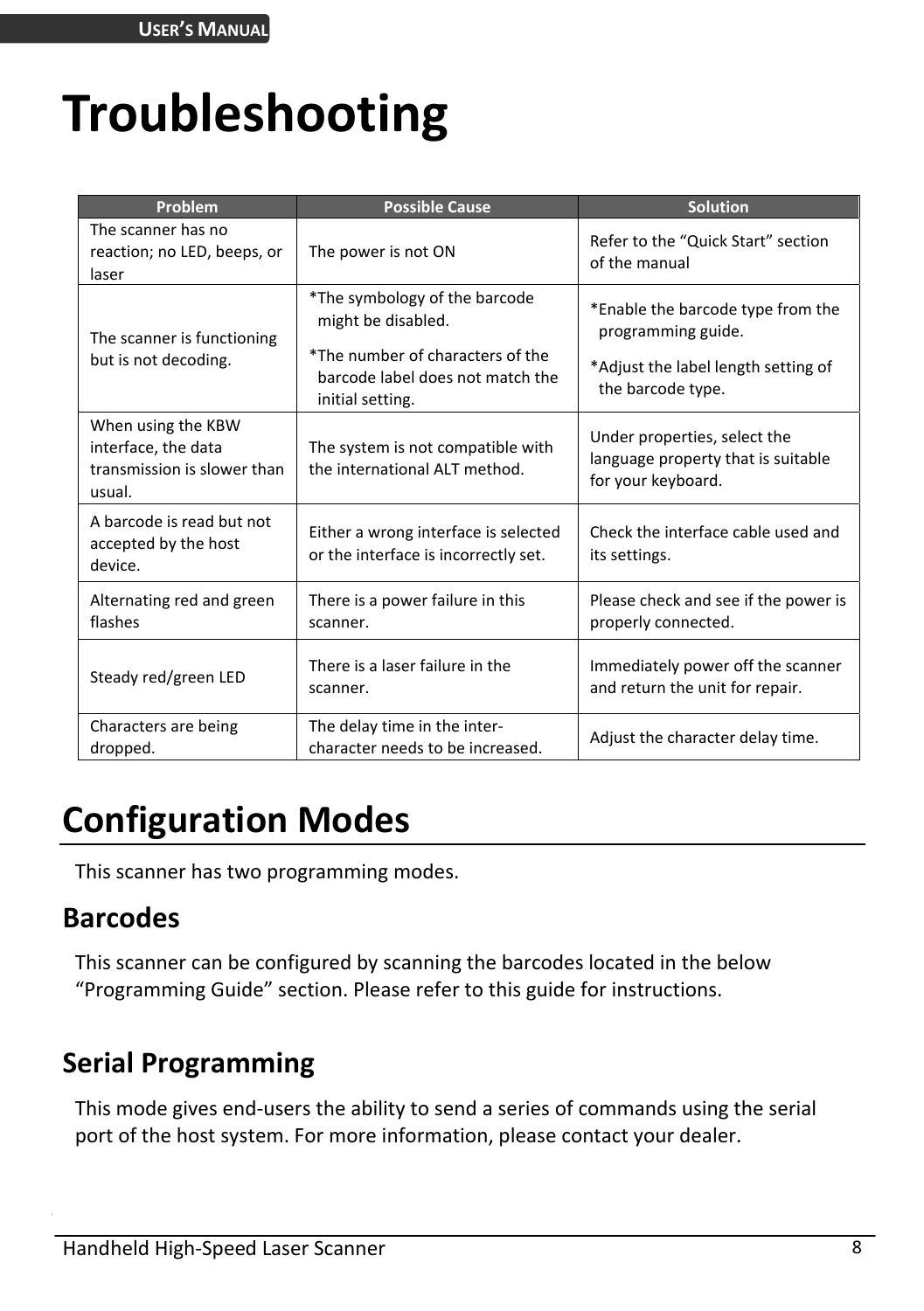# <span id="page-13-0"></span>**Troubleshooting**

| Problem                                                                            | <b>Possible Cause</b>                                                                   | Solution                                                                                 |
|------------------------------------------------------------------------------------|-----------------------------------------------------------------------------------------|------------------------------------------------------------------------------------------|
| The scanner has no<br>reaction; no LED, beeps, or<br>laser                         | The power is not ON                                                                     | Refer to the "Quick Start" section<br>of the manual                                      |
| The scanner is functioning                                                         | *The symbology of the barcode<br>might be disabled.<br>*The number of characters of the | *Enable the barcode type from the<br>programming guide.                                  |
| but is not decoding.                                                               | barcode label does not match the<br>initial setting.                                    | *Adjust the label length setting of<br>the barcode type.                                 |
| When using the KBW<br>interface, the data<br>transmission is slower than<br>usual. | The system is not compatible with<br>the international ALT method.                      | Under properties, select the<br>language property that is suitable<br>for your keyboard. |
| A barcode is read but not<br>accepted by the host<br>device.                       | Either a wrong interface is selected<br>or the interface is incorrectly set.            | Check the interface cable used and<br>its settings.                                      |
| Alternating red and green<br>flashes                                               | There is a power failure in this<br>scanner.                                            | Please check and see if the power is<br>properly connected.                              |
| Steady red/green LED                                                               | There is a laser failure in the<br>scanner.                                             | Immediately power off the scanner<br>and return the unit for repair.                     |
| Characters are being<br>dropped.                                                   | The delay time in the inter-<br>character needs to be increased.                        | Adjust the character delay time.                                                         |

# <span id="page-13-1"></span>**Configuration Modes**

This scanner has two programming modes.

### <span id="page-13-2"></span>**Barcodes**

This scanner can be configured by scanning the barcodes located in the below "Programming Guide" section. Please refer to this guide for instructions.

### <span id="page-13-3"></span>**Serial Programming**

This mode gives end-users the ability to send a series of commands using the serial port of the host system. For more information, please contact your dealer.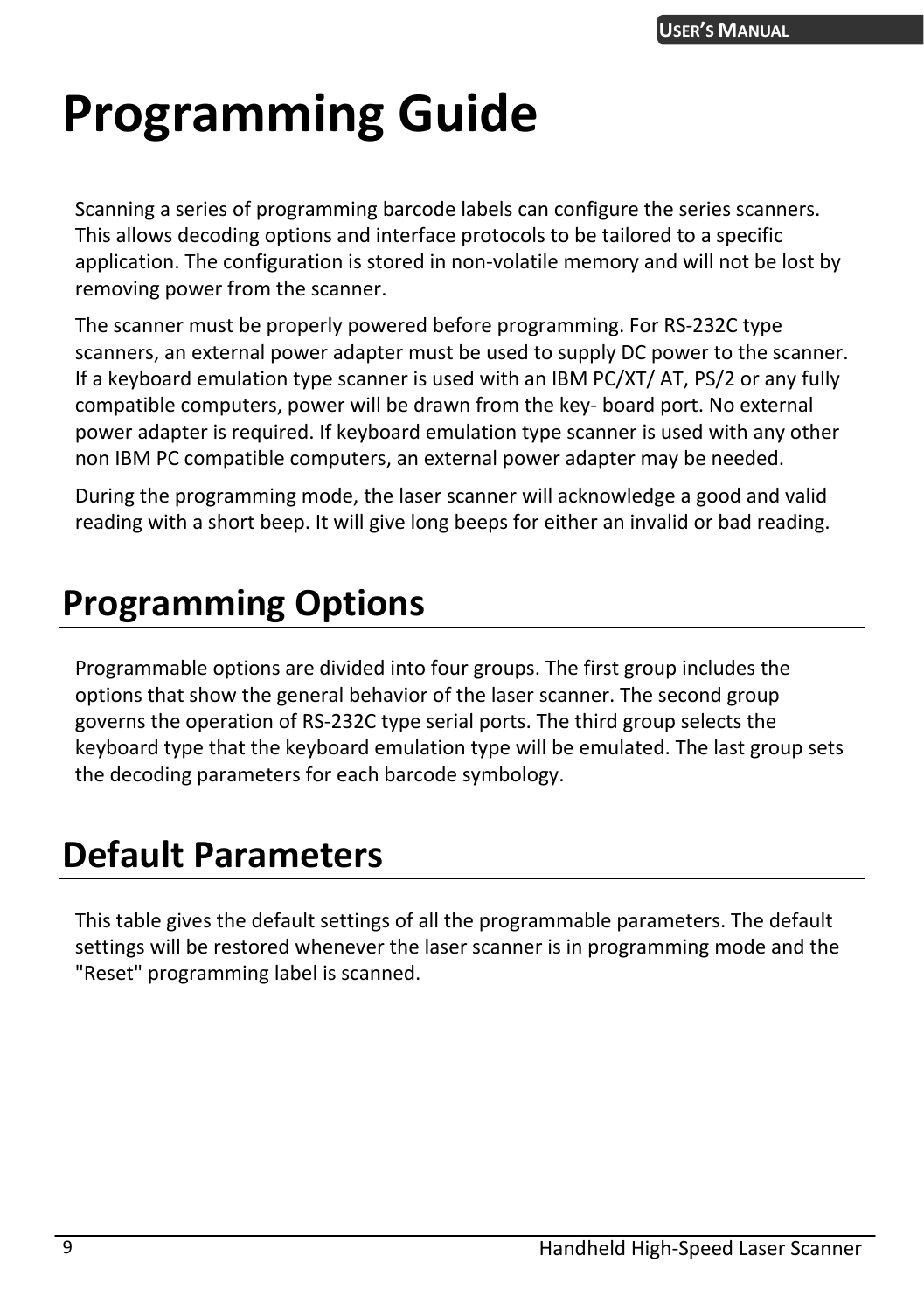# <span id="page-14-0"></span>**Programming Guide**

Scanning a series of programming barcode labels can configure the series scanners. This allows decoding options and interface protocols to be tailored to a specific application. The configuration is stored in non-volatile memory and will not be lost by removing power from the scanner.

The scanner must be properly powered before programming. For RS-232C type scanners, an external power adapter must be used to supply DC power to the scanner. If a keyboard emulation type scanner is used with an IBM PC/XT/ AT, PS/2 or any fully compatible computers, power will be drawn from the key- board port. No external power adapter is required. If keyboard emulation type scanner is used with any other non IBM PC compatible computers, an external power adapter may be needed.

During the programming mode, the laser scanner will acknowledge a good and valid reading with a short beep. It will give long beeps for either an invalid or bad reading.

# <span id="page-14-1"></span>**Programming Options**

Programmable options are divided into four groups. The first group includes the options that show the general behavior of the laser scanner. The second group governs the operation of RS-232C type serial ports. The third group selects the keyboard type that the keyboard emulation type will be emulated. The last group sets the decoding parameters for each barcode symbology.

## <span id="page-14-2"></span>**Default Parameters**

This table gives the default settings of all the programmable parameters. The default settings will be restored whenever the laser scanner is in programming mode and the "Reset" programming label is scanned.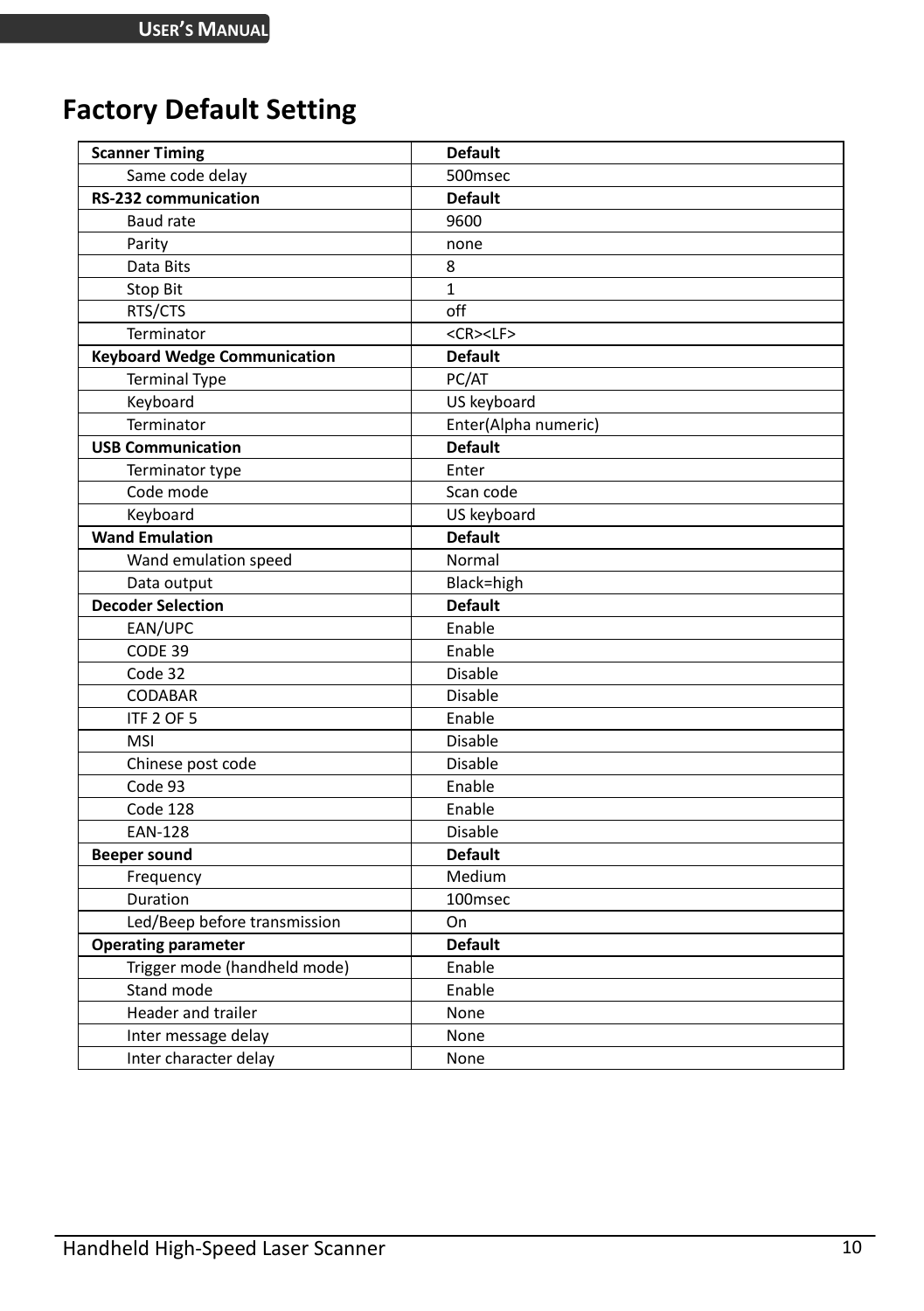## <span id="page-15-0"></span>**Factory Default Setting**

| <b>Scanner Timing</b>               | <b>Default</b>       |
|-------------------------------------|----------------------|
| Same code delay                     | 500msec              |
| <b>RS-232 communication</b>         | <b>Default</b>       |
| Baud rate                           | 9600                 |
| Parity                              | none                 |
| Data Bits                           | 8                    |
| Stop Bit                            | $\mathbf{1}$         |
| RTS/CTS                             | off                  |
| Terminator                          | <cr><lf></lf></cr>   |
| <b>Keyboard Wedge Communication</b> | <b>Default</b>       |
| <b>Terminal Type</b>                | PC/AT                |
| Keyboard                            | US keyboard          |
| Terminator                          | Enter(Alpha numeric) |
| <b>USB Communication</b>            | <b>Default</b>       |
| Terminator type                     | Enter                |
| Code mode                           | Scan code            |
| Keyboard                            | US keyboard          |
| <b>Wand Emulation</b>               | <b>Default</b>       |
| Wand emulation speed                | Normal               |
| Data output                         | Black=high           |
| <b>Decoder Selection</b>            | <b>Default</b>       |
| EAN/UPC                             | Enable               |
| CODE 39                             | Enable               |
| Code 32                             | <b>Disable</b>       |
| <b>CODABAR</b>                      | <b>Disable</b>       |
| ITF 2 OF 5                          | Enable               |
| <b>MSI</b>                          | <b>Disable</b>       |
| Chinese post code                   | Disable              |
| Code 93                             | Enable               |
| Code 128                            | Enable               |
| <b>EAN-128</b>                      | Disable              |
| <b>Beeper sound</b>                 | <b>Default</b>       |
| Frequency                           | Medium               |
| Duration                            | 100msec              |
| Led/Beep before transmission        | On                   |
| <b>Operating parameter</b>          | <b>Default</b>       |
| Trigger mode (handheld mode)        | Enable               |
| Stand mode                          | Enable               |
| Header and trailer                  | None                 |
| Inter message delay                 | None                 |
| Inter character delay               | None                 |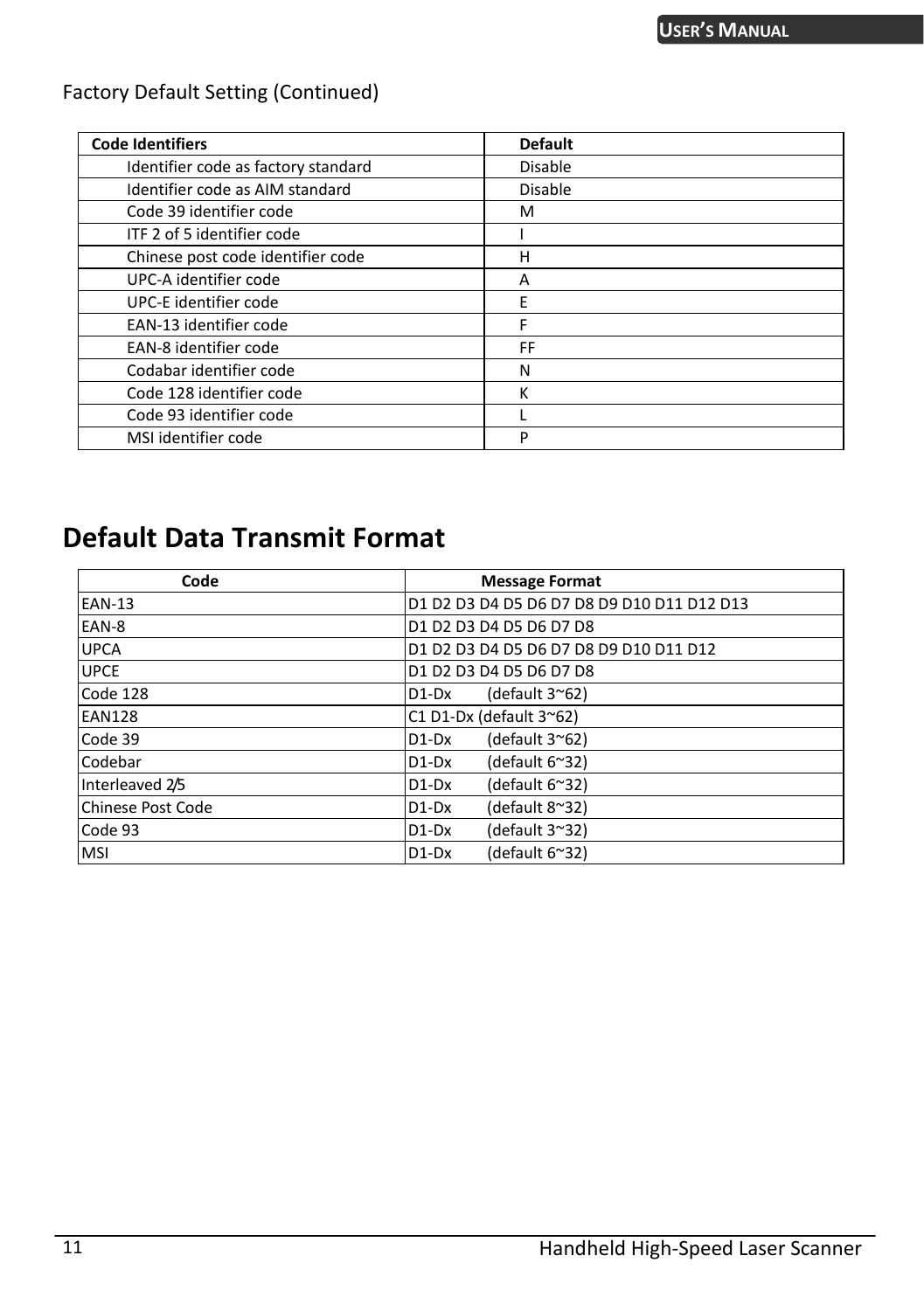#### Factory Default Setting (Continued)

| <b>Code Identifiers</b>             | <b>Default</b> |
|-------------------------------------|----------------|
| Identifier code as factory standard | <b>Disable</b> |
| Identifier code as AIM standard     | Disable        |
| Code 39 identifier code             | м              |
| ITF 2 of 5 identifier code          |                |
| Chinese post code identifier code   | н              |
| UPC-A identifier code               | Α              |
| UPC-E identifier code               | E              |
| EAN-13 identifier code              |                |
| EAN-8 identifier code               | FF             |
| Codabar identifier code             | N              |
| Code 128 identifier code            | ĸ              |
| Code 93 identifier code             |                |
| MSI identifier code                 | P              |

## <span id="page-16-0"></span>**Default Data Transmit Format**

| Code                     | <b>Message Format</b>                      |
|--------------------------|--------------------------------------------|
| <b>EAN-13</b>            | D1 D2 D3 D4 D5 D6 D7 D8 D9 D10 D11 D12 D13 |
| EAN-8                    | D1 D2 D3 D4 D5 D6 D7 D8                    |
| <b>UPCA</b>              | D1 D2 D3 D4 D5 D6 D7 D8 D9 D10 D11 D12     |
| <b>UPCE</b>              | D1 D2 D3 D4 D5 D6 D7 D8                    |
| Code 128                 | (default $3^{\sim}62$ )<br>D1-Dx           |
| <b>EAN128</b>            | C1 D1-Dx (default 3~62)                    |
| Code 39                  | (default 3~62)<br>$D1-Dx$                  |
| Codebar                  | (default 6~32)<br>$D1-Dx$                  |
| Interleaved 2/5          | (default 6~32)<br>$D1-Dx$                  |
| <b>Chinese Post Code</b> | (default 8~32)<br>$D1-Dx$                  |
| Code 93                  | (default 3~32)<br>$D1-Dx$                  |
| <b>MSI</b>               | (default 6~32)<br>$D1-Dx$                  |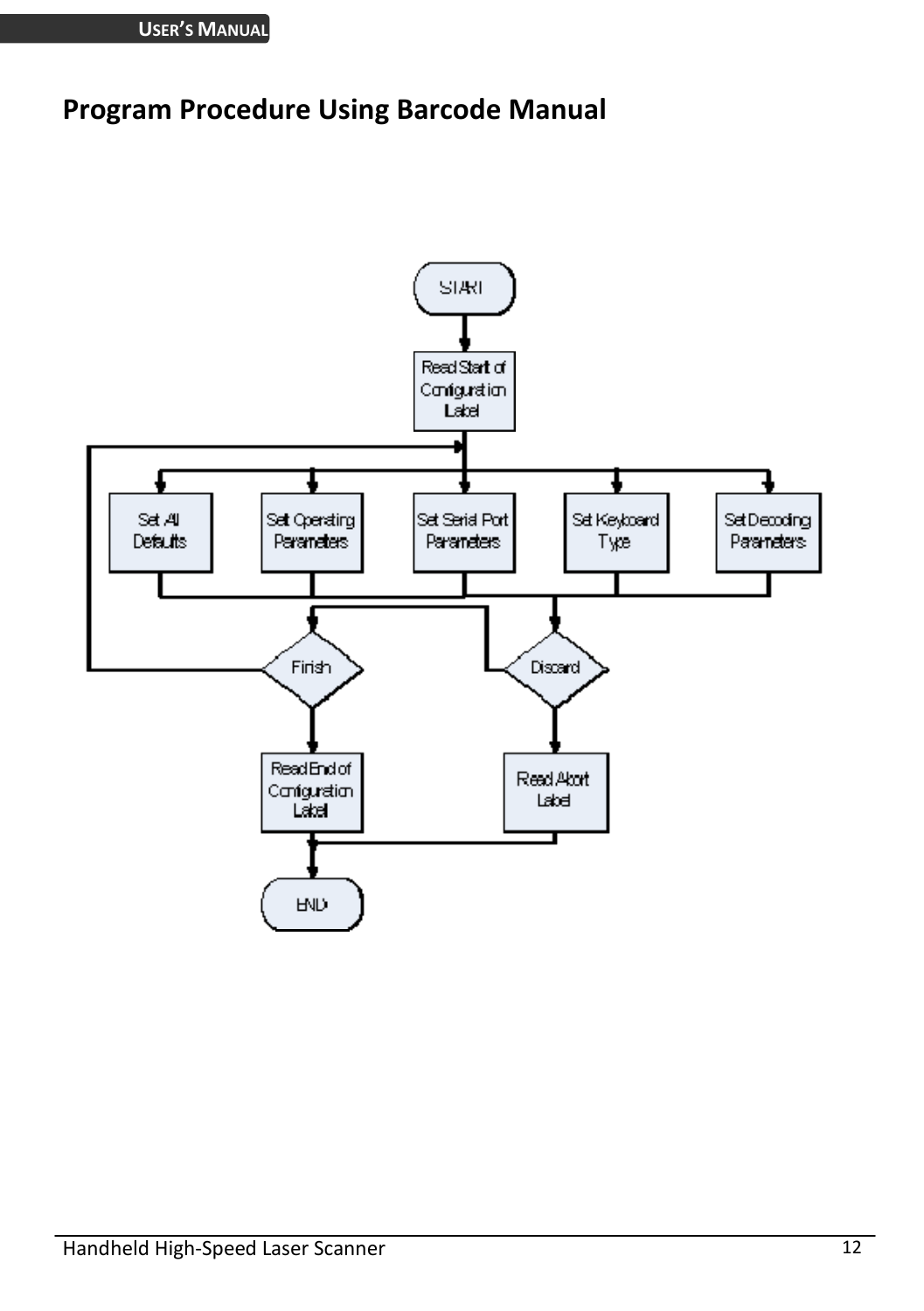### <span id="page-17-0"></span>**Program Procedure Using Barcode Manual**

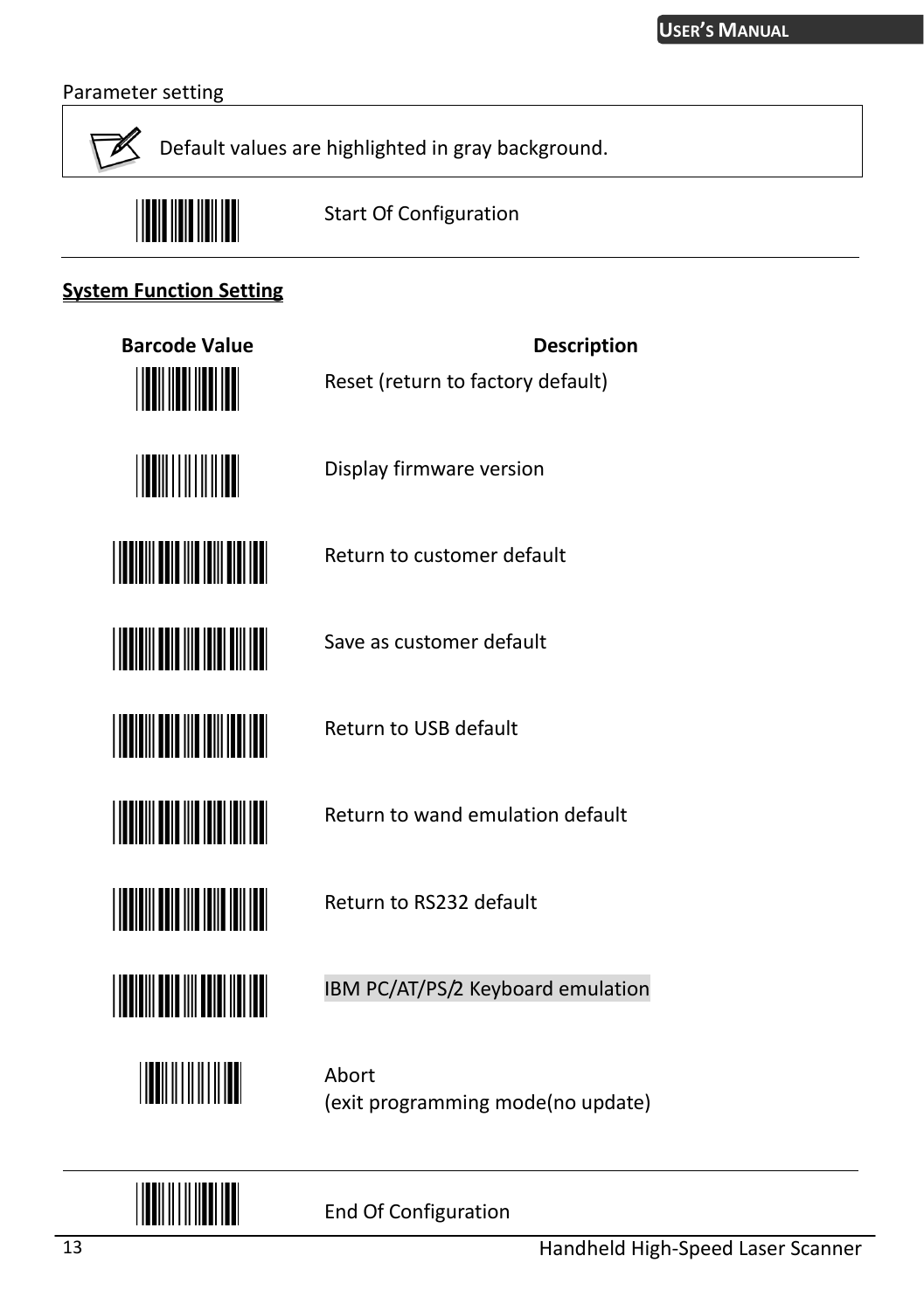#### Parameter setting



Default values are highlighted in gray background.



Start Of Configuration

Reset (return to factory default)

Display firmware version

Return to customer default

Save as customer default

Return to USB default

Return to RS232 default

#### **System Function Setting**







**THE REAL PROPERTY OF A** 



IBM PC/AT/PS/2 Keyboard emulation

Return to wand emulation default

<u>||||||||||||||</u>

Abort (exit programming mode(no update)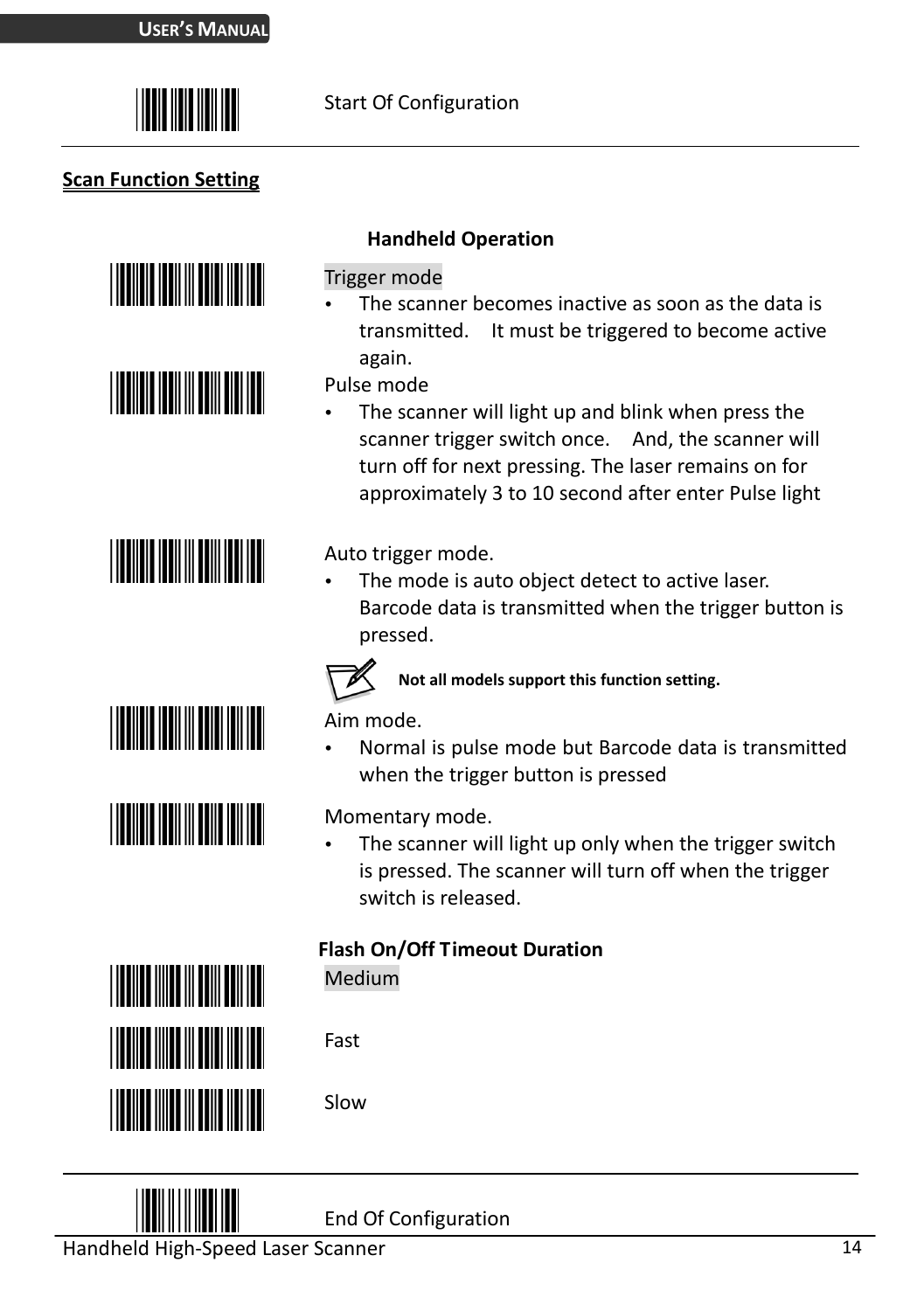

#### **Scan Function Setting**













#### **Handheld Operation**

#### Trigger mode

 The scanner becomes inactive as soon as the data is transmitted. It must be triggered to become active again.

Pulse mode

 The scanner will light up and blink when press the scanner trigger switch once. And, the scanner will turn off for next pressing. The laser remains on for approximately 3 to 10 second after enter Pulse light

Auto trigger mode.

 The mode is auto object detect to active laser. Barcode data is transmitted when the trigger button is pressed.



**Not all models support this function setting.** 

Aim mode.

 Normal is pulse mode but Barcode data is transmitted when the trigger button is pressed

Momentary mode.

 The scanner will light up only when the trigger switch is pressed. The scanner will turn off when the trigger switch is released.

#### **Flash On/Off Timeout Duration**

Medium

Fast

Slow



End Of Configuration

Handheld High-Speed Laser Scanner 14 and 14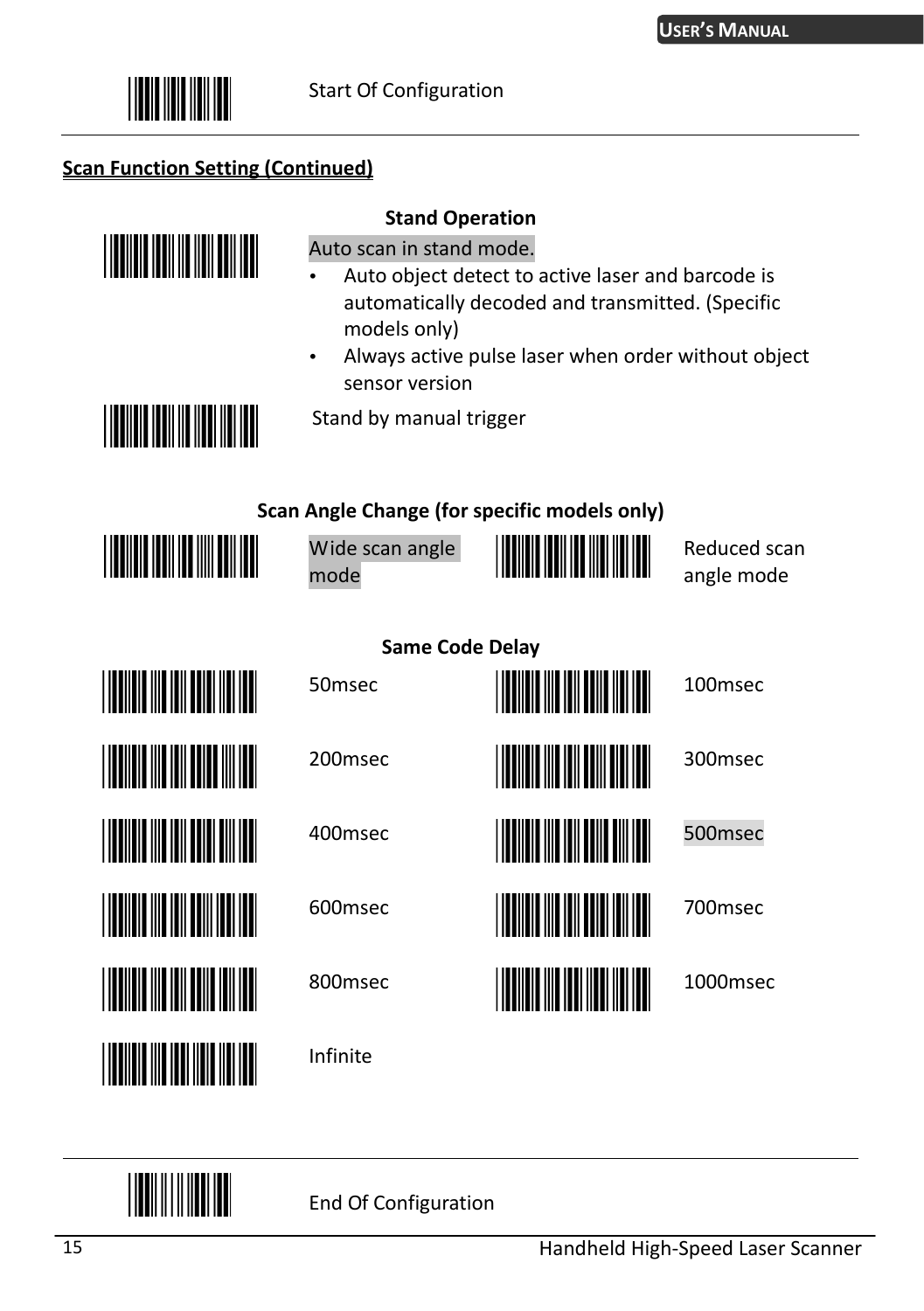

#### **Scan Function Setting (Continued)**



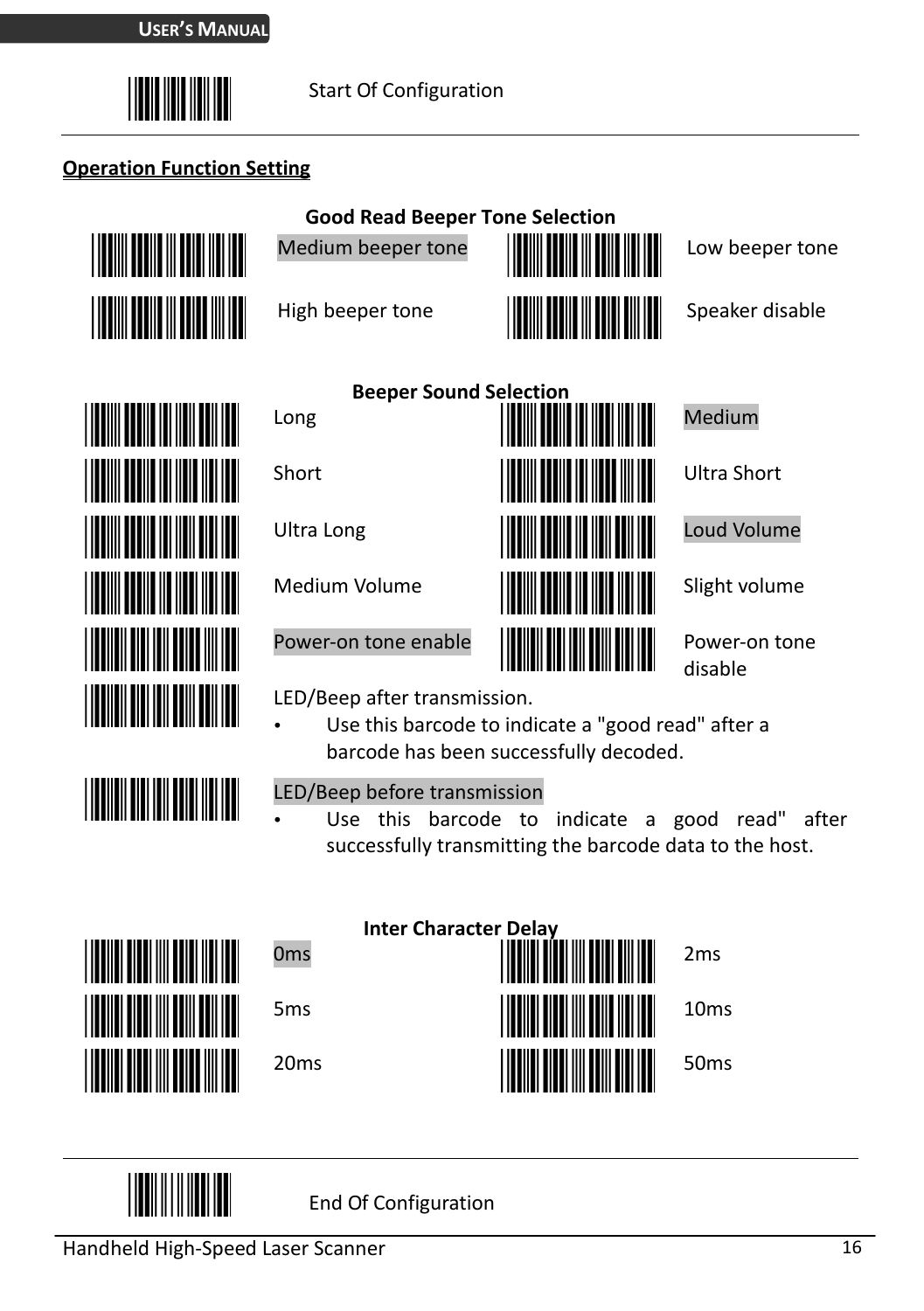

#### **Operation Function Setting**



**Good Read Beeper Tone Selection** 







disable

LED/Beep after transmission.

 Use this barcode to indicate a "good read" after a barcode has been successfully decoded.

<u>||||||||||||||||||||||||||||</u>

LED/Beep before transmission

 Use this barcode to indicate a good read" after successfully transmitting the barcode data to the host.





**HILLER**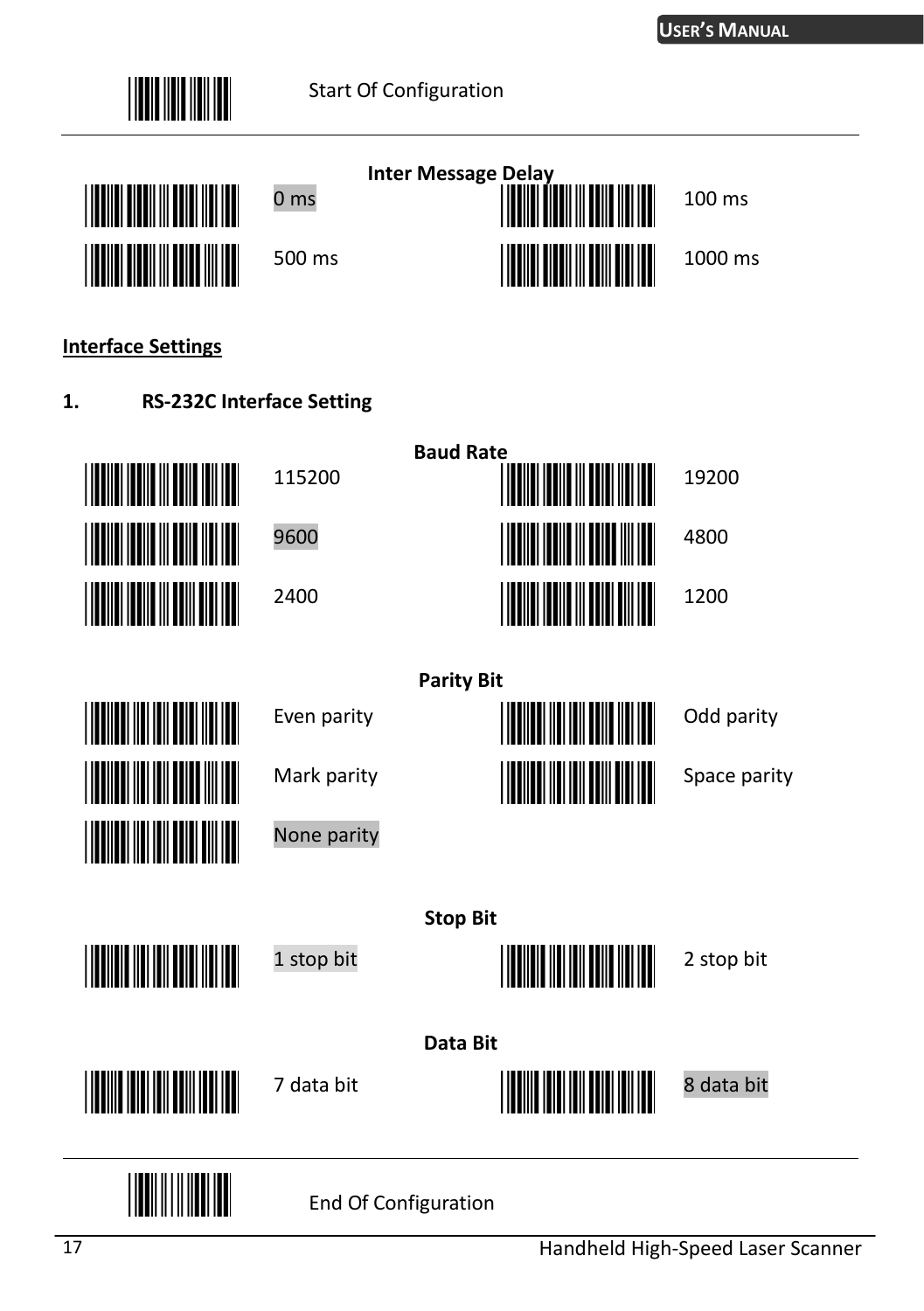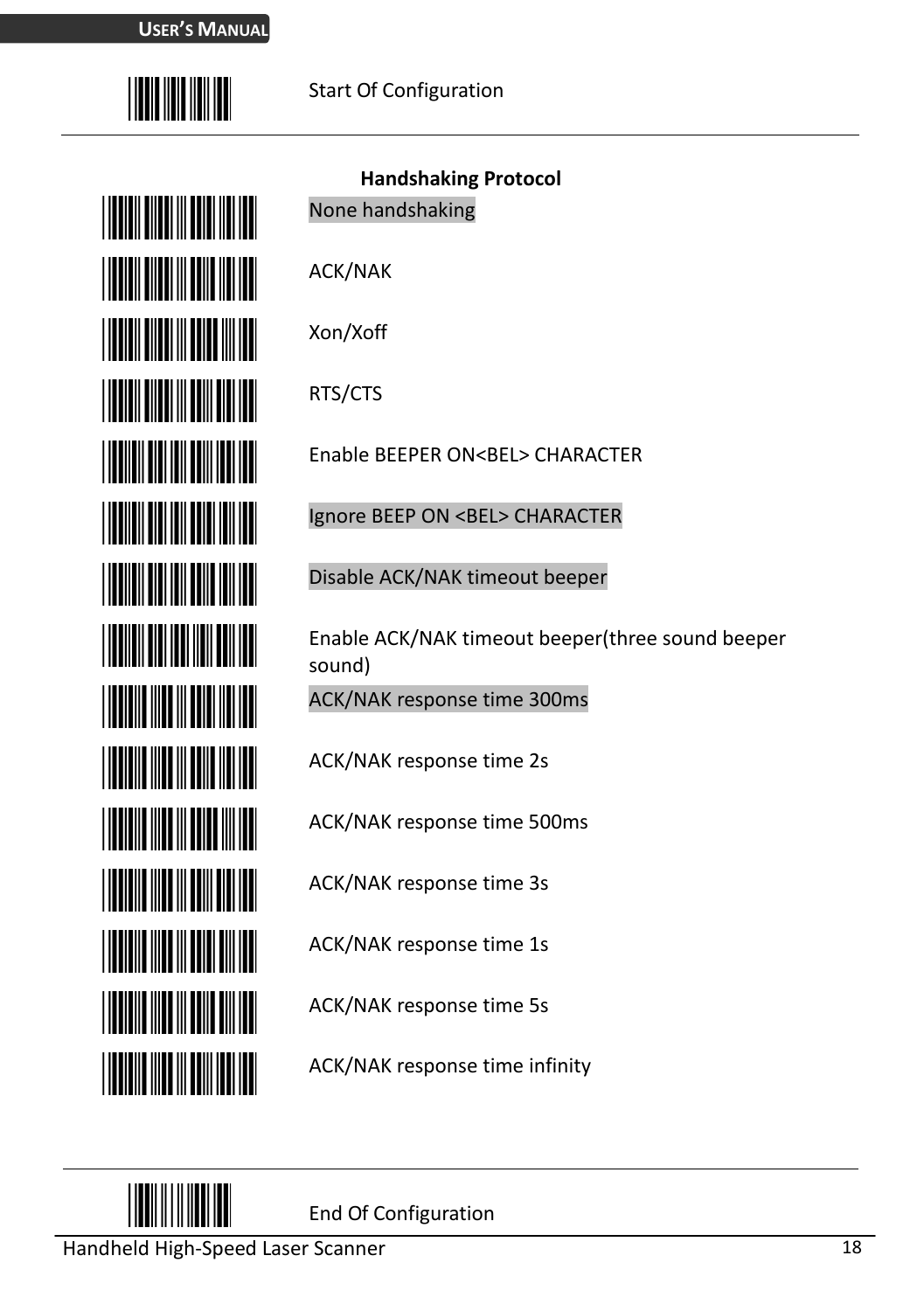

| <b>III</b> III III III          |
|---------------------------------|
| <u>Hill Hill Hill Hill</u>      |
| <u> Hillian Mill</u>            |
| <u>Hilli III III III III II</u> |
|                                 |
| <u>HIII III III III III II</u>  |
| <u> Hill Hill</u>               |
| <u> Hill Milliam I</u>          |
| <u> Hillingan k</u>             |
| <u> Hill Milliam I</u>          |
| <u> Hillingan k</u>             |
| <u> Hill Milliam I</u>          |
| <u> Hillingan k</u>             |
| <u> Hilli Hilli</u>             |

**Handshaking Protocol**  None handshaking ACK/NAK Xon/Xoff

RTS/CTS

Enable BEEPER ON<BEL> CHARACTER

Ignore BEEP ON <BEL> CHARACTER

Disable ACK/NAK timeout beeper

Enable ACK/NAK timeout beeper(three sound beeper sound)

ACK/NAK response time 300ms

ACK/NAK response time 2s

ACK/NAK response time 500ms

ACK/NAK response time 3s

ACK/NAK response time 1s

ACK/NAK response time 5s

ACK/NAK response time infinity

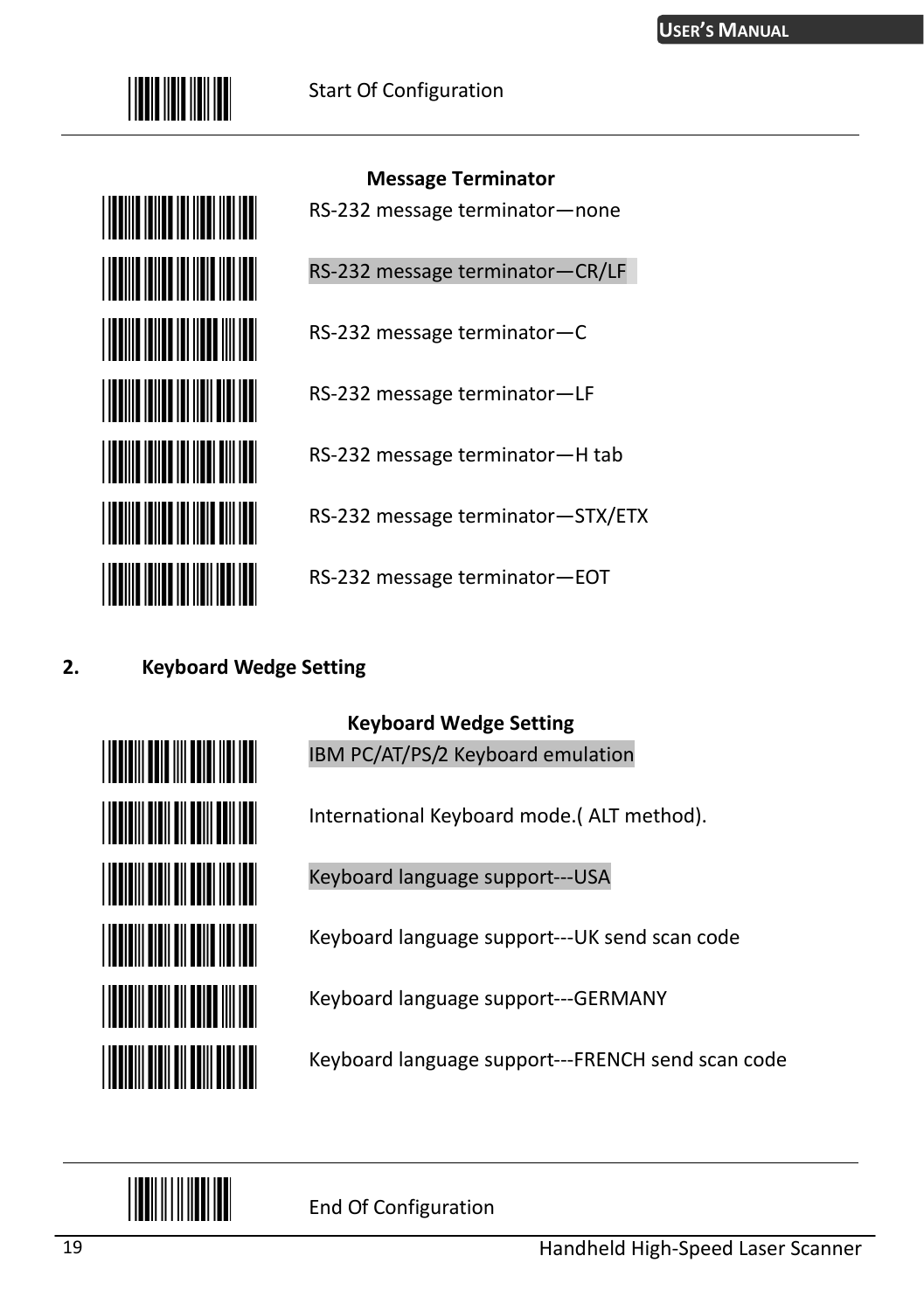



**Message Terminator**  RS-232 message terminator—none RS-232 message terminator—CR/LF

RS-232 message terminator—C

RS-232 message terminator—LF

RS-232 message terminator—H tab

RS-232 message terminator—STX/ETX

RS-232 message terminator—EOT

#### **2. Keyboard Wedge Setting**



**Keyboard Wedge Setting** 

IBM PC/AT/PS/2 Keyboard emulation

International Keyboard mode.( ALT method).

Keyboard language support---USA

Keyboard language support---UK send scan code

Keyboard language support---GERMANY

Keyboard language support---FRENCH send scan code

<u>||||||||||||||||</u>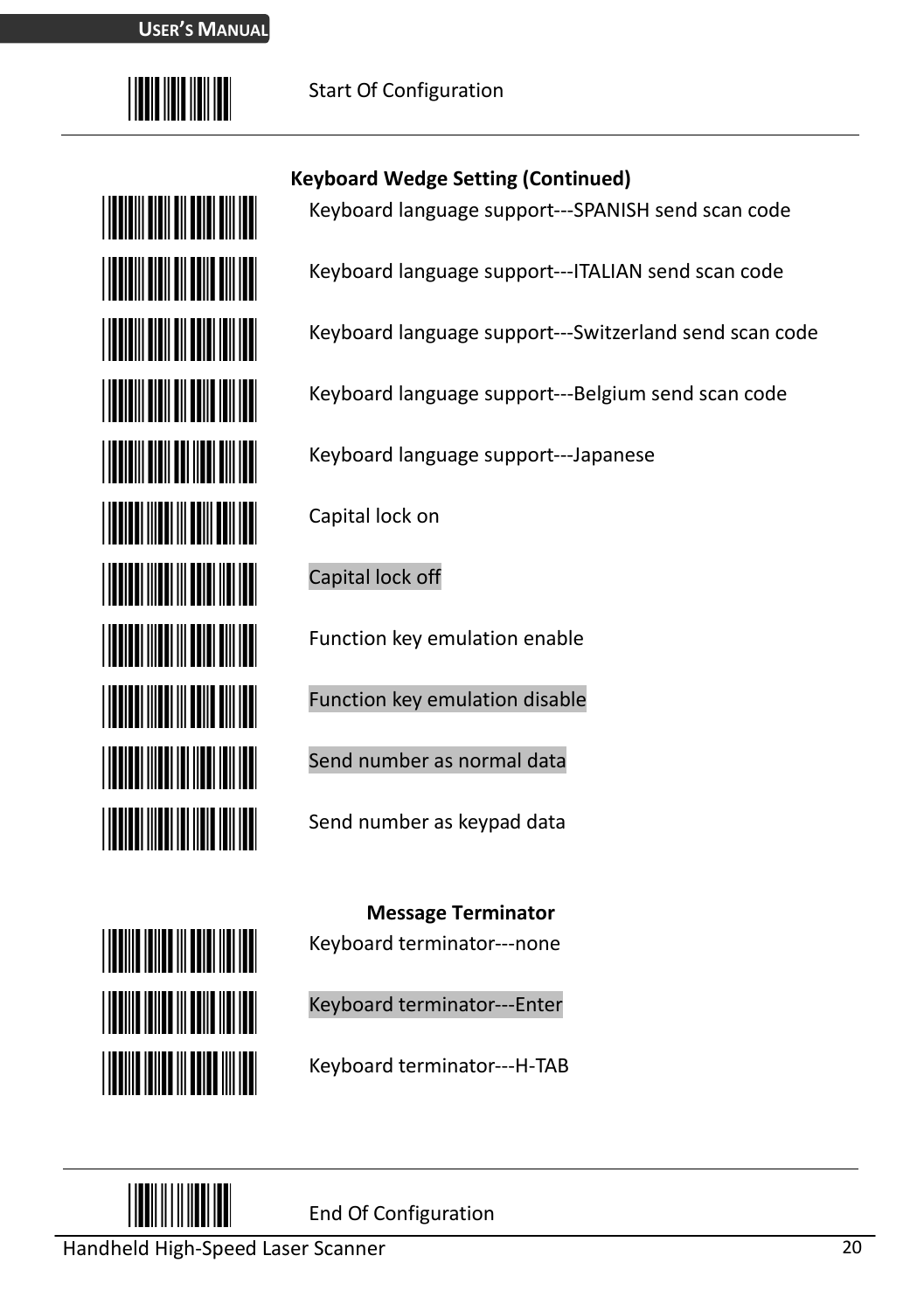



#### **Keyboard Wedge Setting (Continued)**

Keyboard language support---SPANISH send scan code

Keyboard language support---ITALIAN send scan code

Keyboard language support---Switzerland send scan code

Keyboard language support---Belgium send scan code

Keyboard language support---Japanese

Capital lock on

Capital lock off

Function key emulation enable

Function key emulation disable

Send number as normal data

Send number as keypad data

**Message Terminator**  Keyboard terminator---none

Keyboard terminator---Enter

Keyboard terminator---H-TAB



**THE REAL PROPERTY** 

**THE REAL PROPERTY** 

**THE TELEVISION** 

End Of Configuration

Handheld High-Speed Laser Scanner 20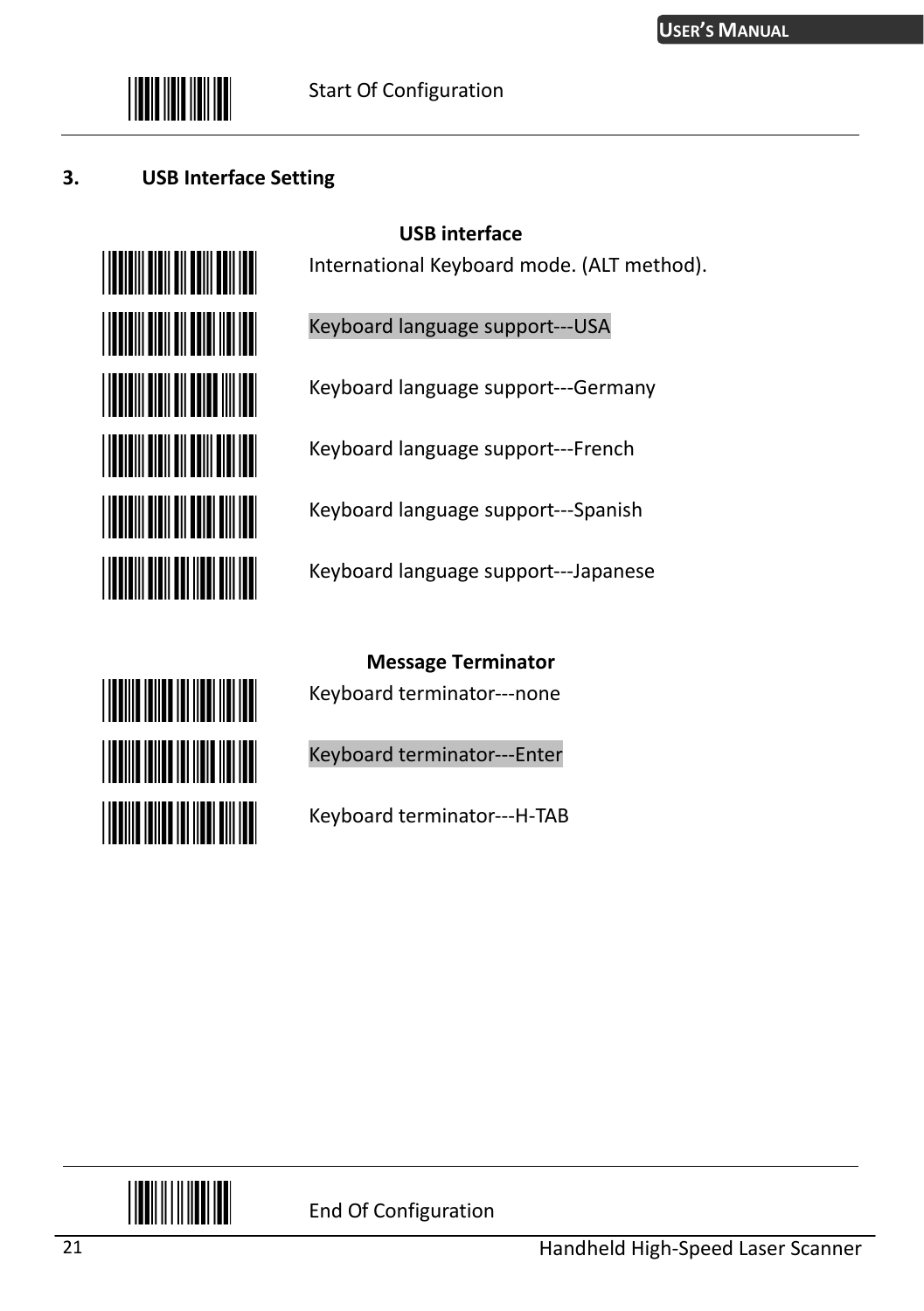

#### **3. USB Interface Setting**



**THE REAL PROPERTY** 

**THE REAL PROPERTY** 

**THE REAL PROPERTY OF A** 

International Keyboard mode. (ALT method).

Keyboard language support---USA

**USB interface** 

Keyboard language support---Germany

Keyboard language support---French

Keyboard language support---Spanish

Keyboard language support---Japanese

**Message Terminator** 

Keyboard terminator---none

Keyboard terminator---Enter

Keyboard terminator---H-TAB

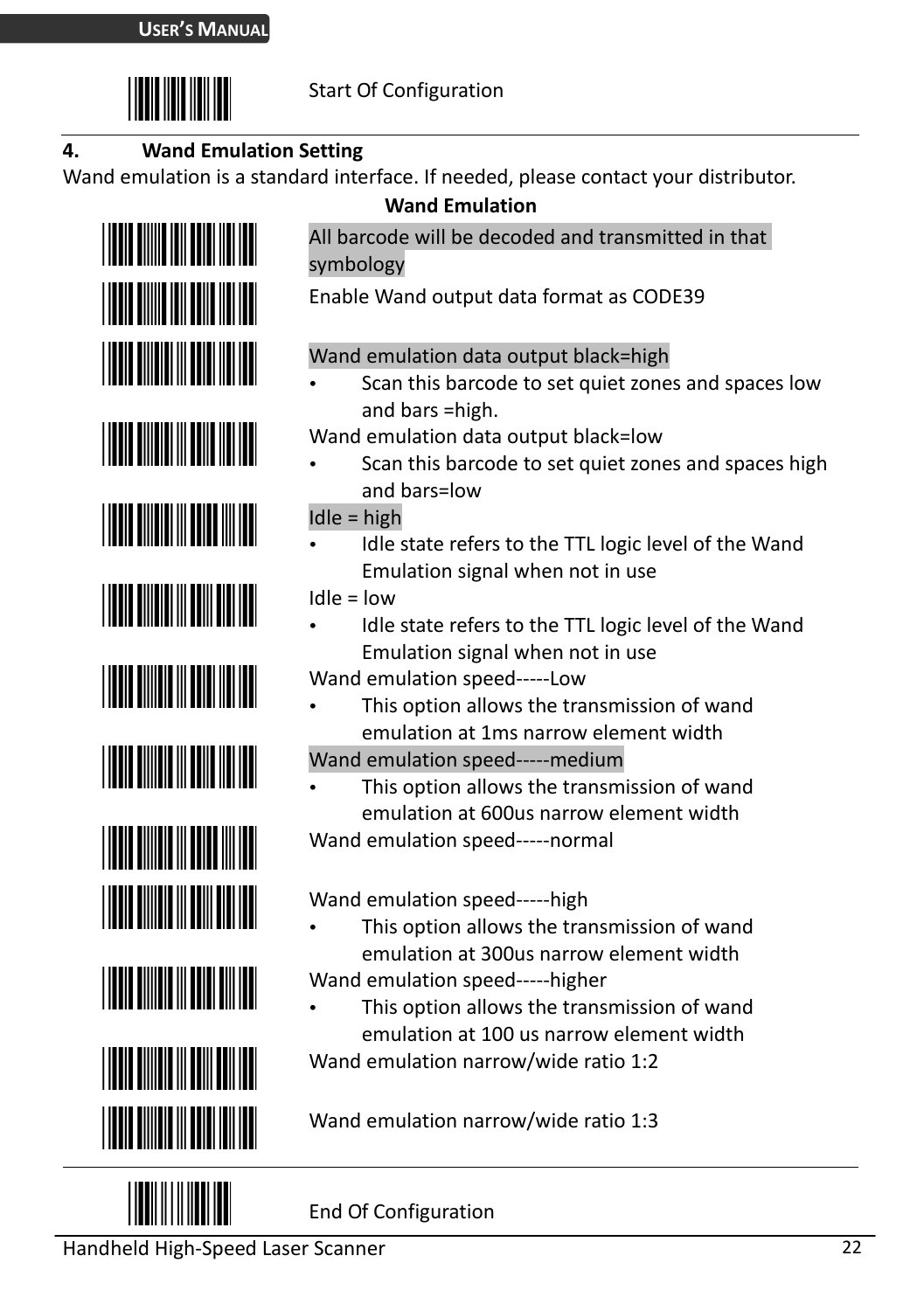

#### **4. Wand Emulation Setting**

Wand emulation is a standard interface. If needed, please contact your distributor.





**Wand Emulation** 

All barcode will be decoded and transmitted in that symbology

Enable Wand output data format as CODE39

#### Wand emulation data output black=high

- Scan this barcode to set quiet zones and spaces low and bars =high.
- Wand emulation data output black=low
- Scan this barcode to set quiet zones and spaces high and bars=low

Idle = high

- Idle state refers to the TTL logic level of the Wand Emulation signal when not in use
- Idle = low
- Idle state refers to the TTL logic level of the Wand Emulation signal when not in use

Wand emulation speed-----Low

- This option allows the transmission of wand emulation at 1ms narrow element width
- Wand emulation speed-----medium
- This option allows the transmission of wand emulation at 600us narrow element width Wand emulation speed-----normal

Wand emulation speed-----high

- This option allows the transmission of wand emulation at 300us narrow element width
- Wand emulation speed-----higher
- This option allows the transmission of wand emulation at 100 us narrow element width

Wand emulation narrow/wide ratio 1:2

Wand emulation narrow/wide ratio 1:3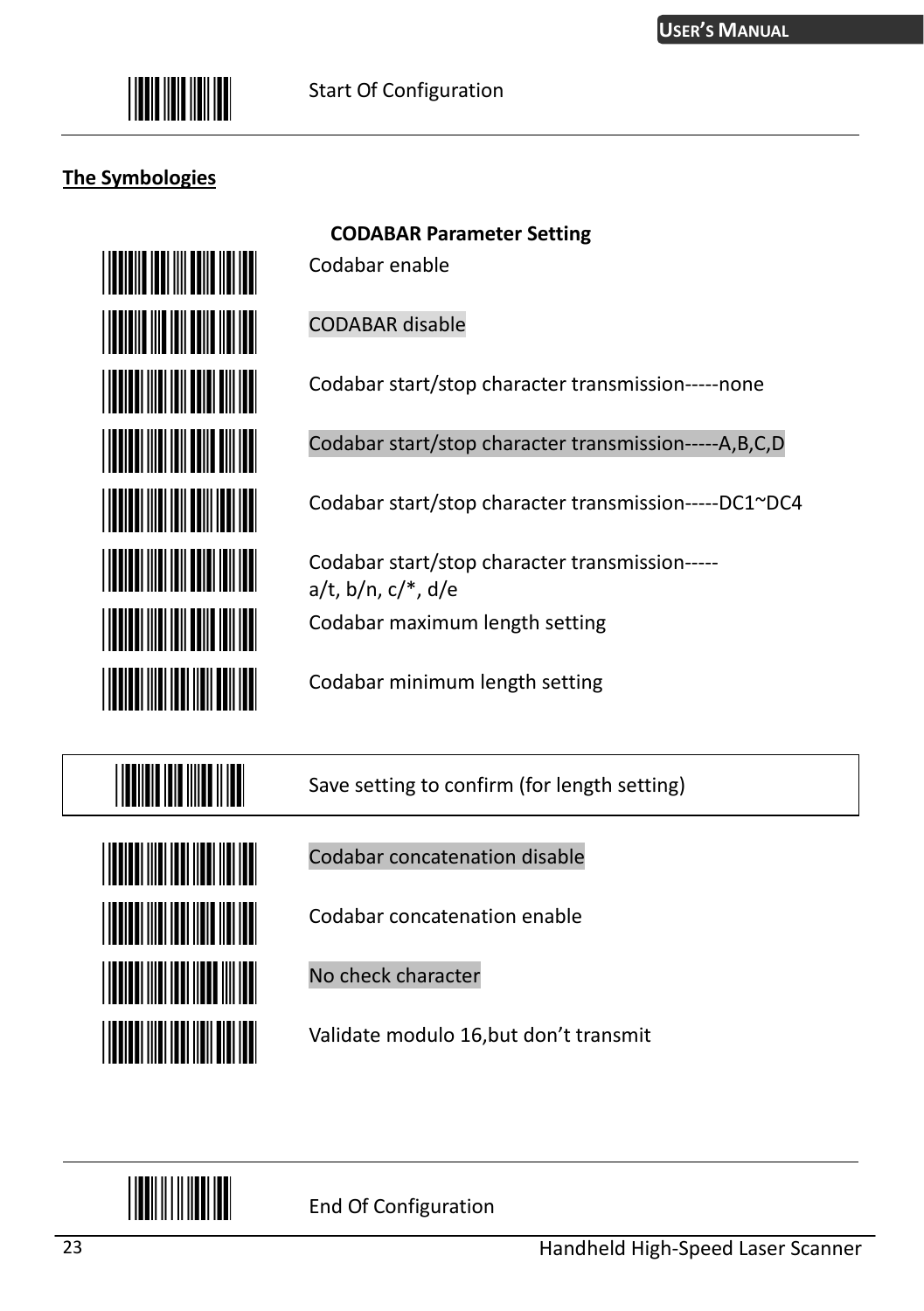

#### **The Symbologies**



Codabar enable

**CODABAR Parameter Setting** 

CODABAR disable

Codabar start/stop character transmission-----none

Codabar start/stop character transmission-----A,B,C,D

Codabar start/stop character transmission-----DC1~DC4

Codabar start/stop character transmission---- a/t, b/n, c/\*, d/e Codabar maximum length setting

Codabar minimum length setting



Save setting to confirm (for length setting)

Codabar concatenation disable

Codabar concatenation enable

No check character

Validate modulo 16,but don't transmit

<u> Hillingin III </u>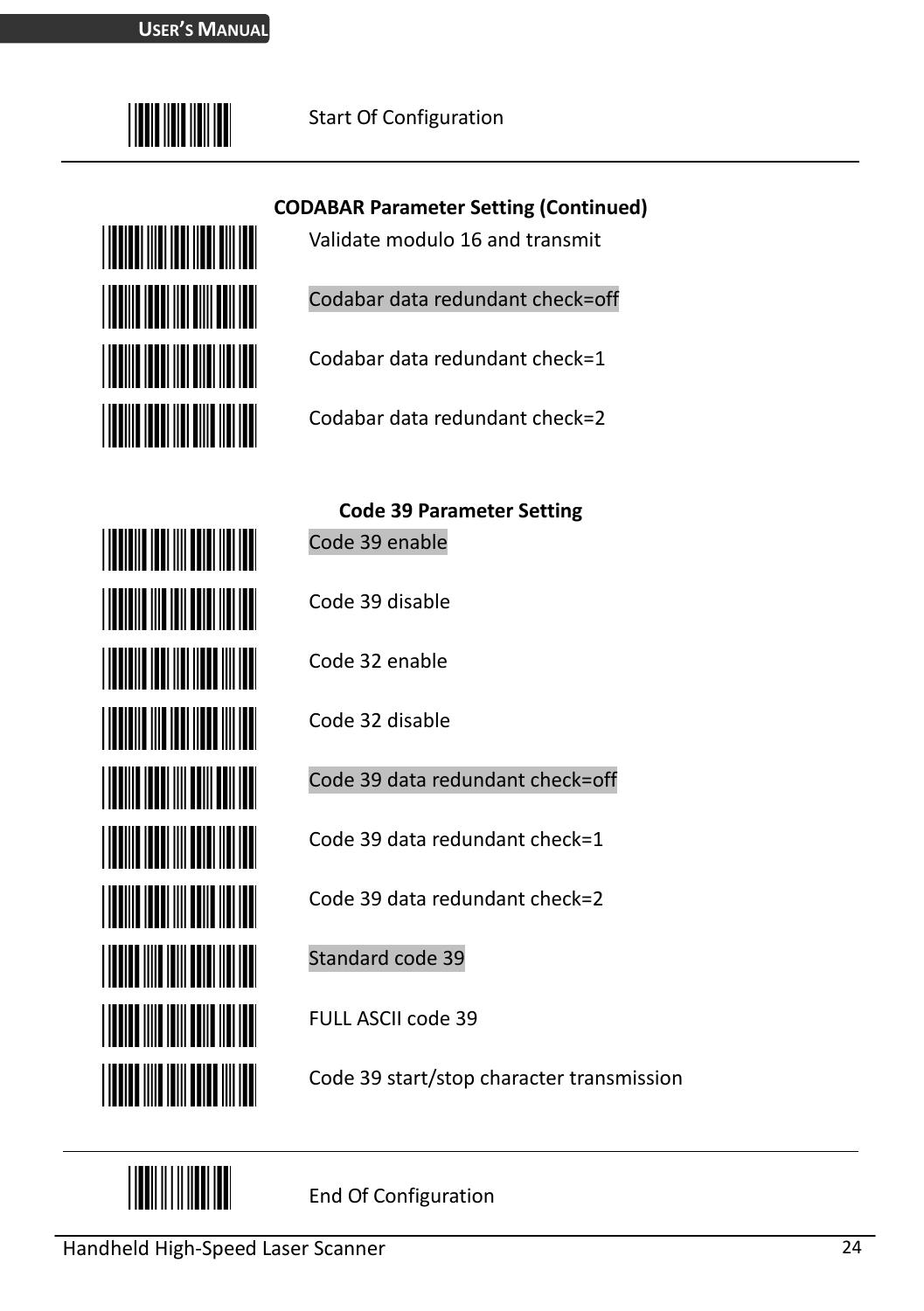

<u>Hilli Martin M</u>

**THE REAL PROPERTY** 

#### Start Of Configuration

**CODABAR Parameter Setting (Continued)**

Validate modulo 16 and transmit

Codabar data redundant check=off

Codabar data redundant check=1

Codabar data redundant check=2



**Code 39 Parameter Setting** Code 39 enable Code 39 disable Code 32 enable Code 32 disable Code 39 data redundant check=off Code 39 data redundant check=1 Code 39 data redundant check=2 Standard code 39

FULL ASCII code 39

Code 39 start/stop character transmission

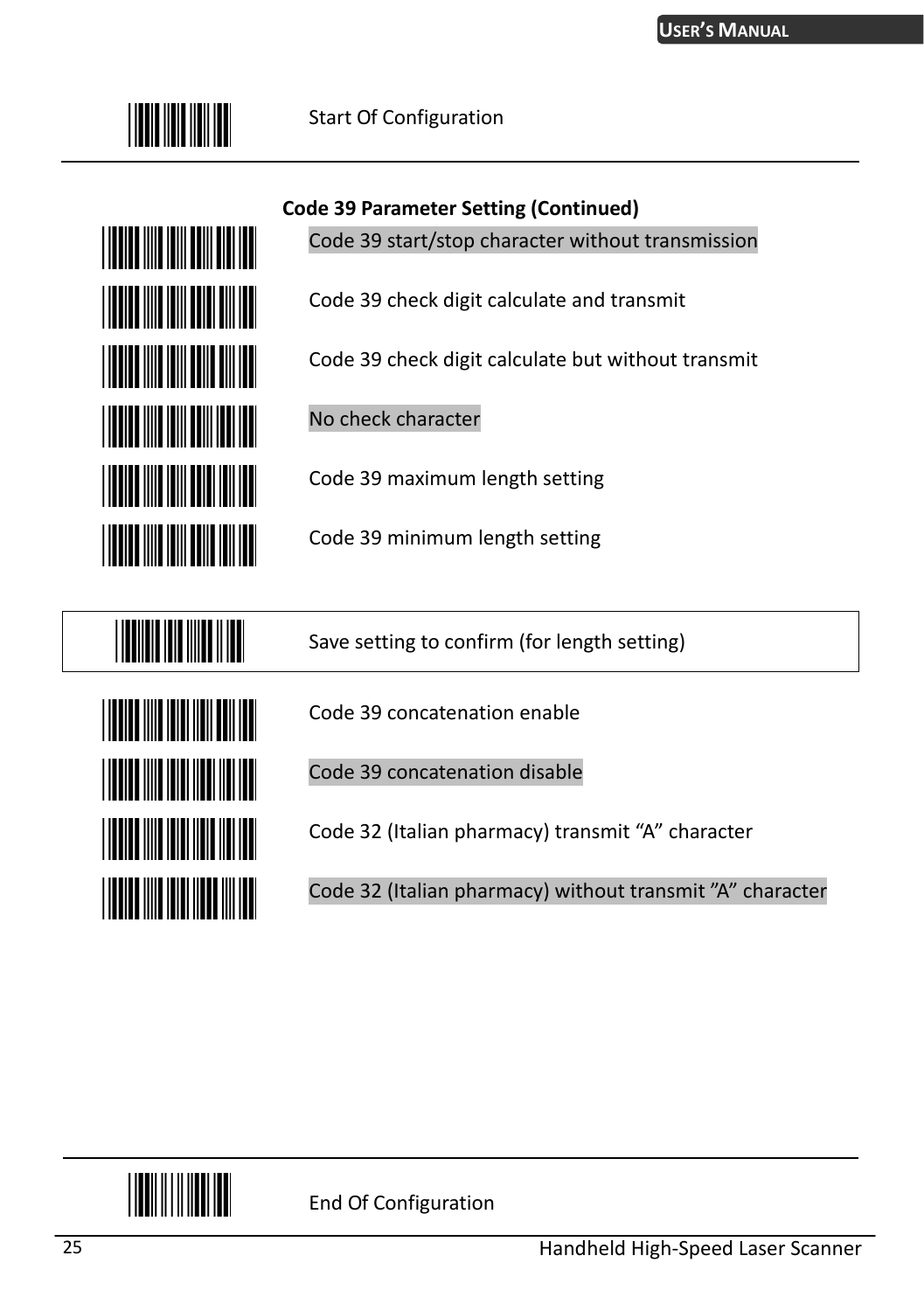



**Code 39 Parameter Setting (Continued)**

Code 39 start/stop character without transmission

Code 39 check digit calculate and transmit

Code 39 check digit calculate but without transmit

No check character

Code 39 maximum length setting

Code 39 minimum length setting

Save setting to confirm (for length setting)



Code 39 concatenation enable

Code 39 concatenation disable

Code 32 (Italian pharmacy) transmit "A" character

Code 32 (Italian pharmacy) without transmit "A" character

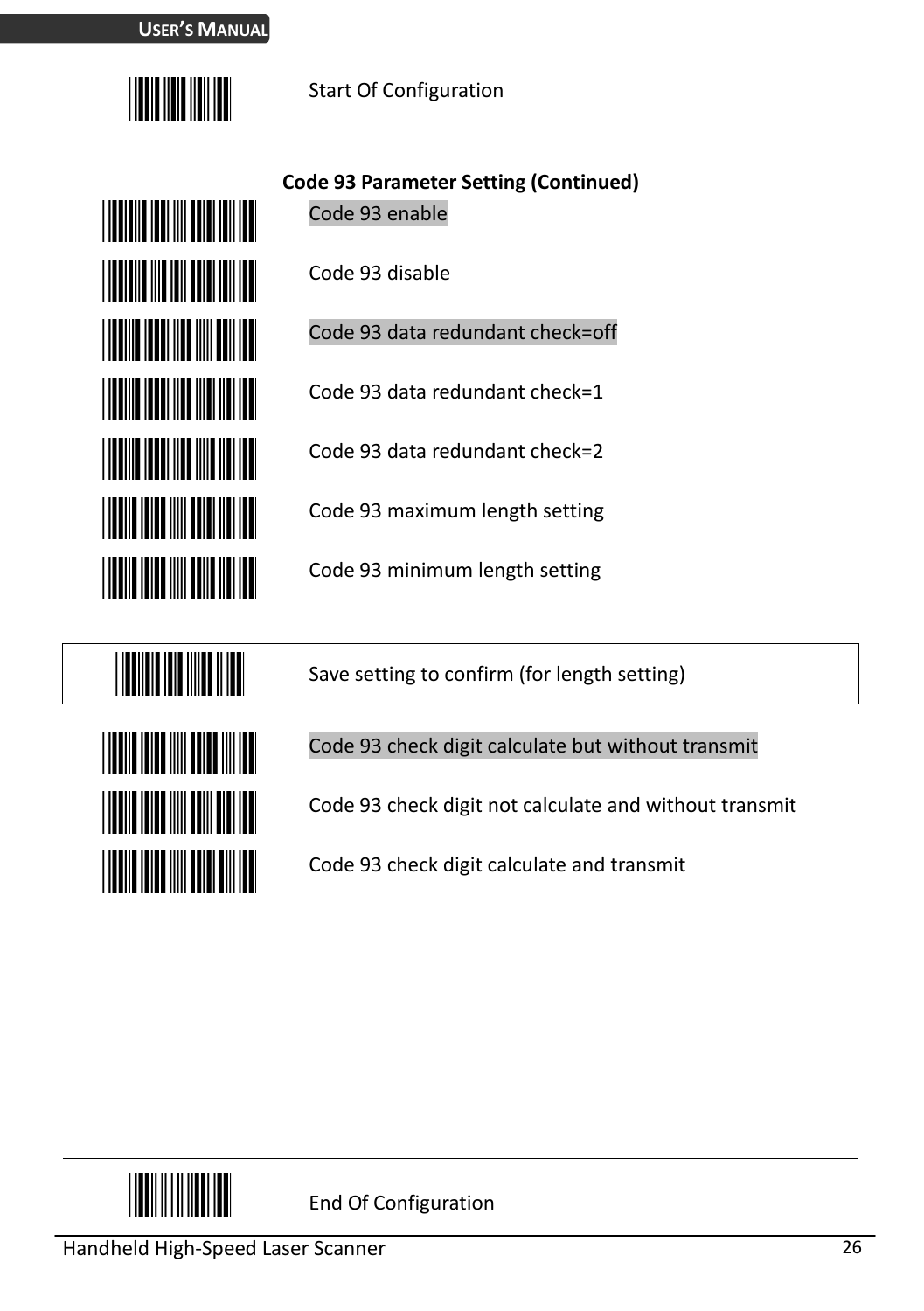



**Code 93 Parameter Setting (Continued)**

Code 93 enable

Code 93 disable

Code 93 data redundant check=off

Code 93 data redundant check=1

Code 93 data redundant check=2

Code 93 maximum length setting

Code 93 minimum length setting



Save setting to confirm (for length setting)

#### Code 93 check digit calculate but without transmit

Code 93 check digit not calculate and without transmit

Code 93 check digit calculate and transmit

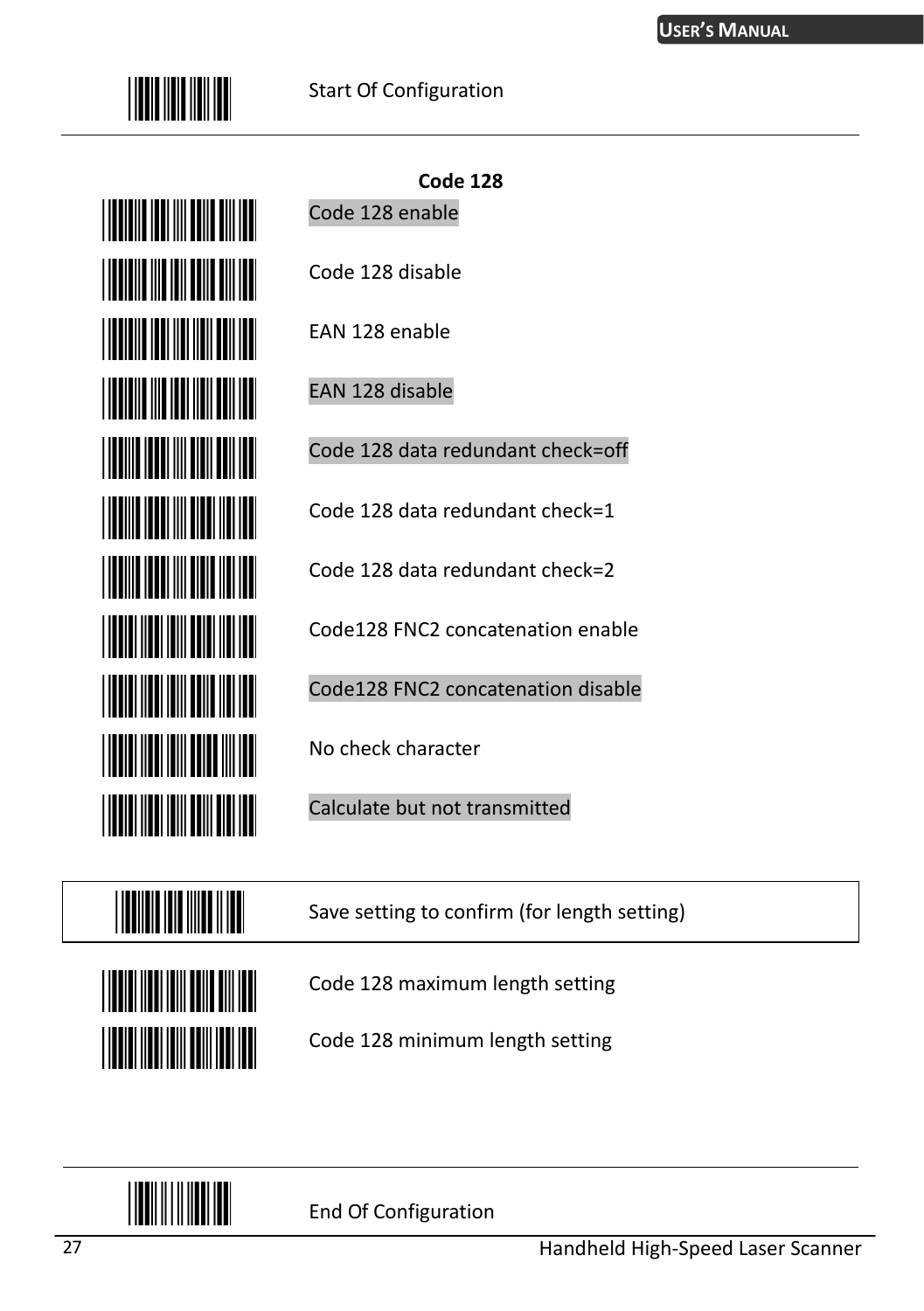



**Code 128** Code 128 enable

Code 128 disable

EAN 128 enable

EAN 128 disable

Code 128 data redundant check=off

Code 128 data redundant check=1

Code 128 data redundant check=2

Code128 FNC2 concatenation enable

Code128 FNC2 concatenation disable

No check character

Calculate but not transmitted

Save setting to confirm (for length setting)



Code 128 maximum length setting

Code 128 minimum length setting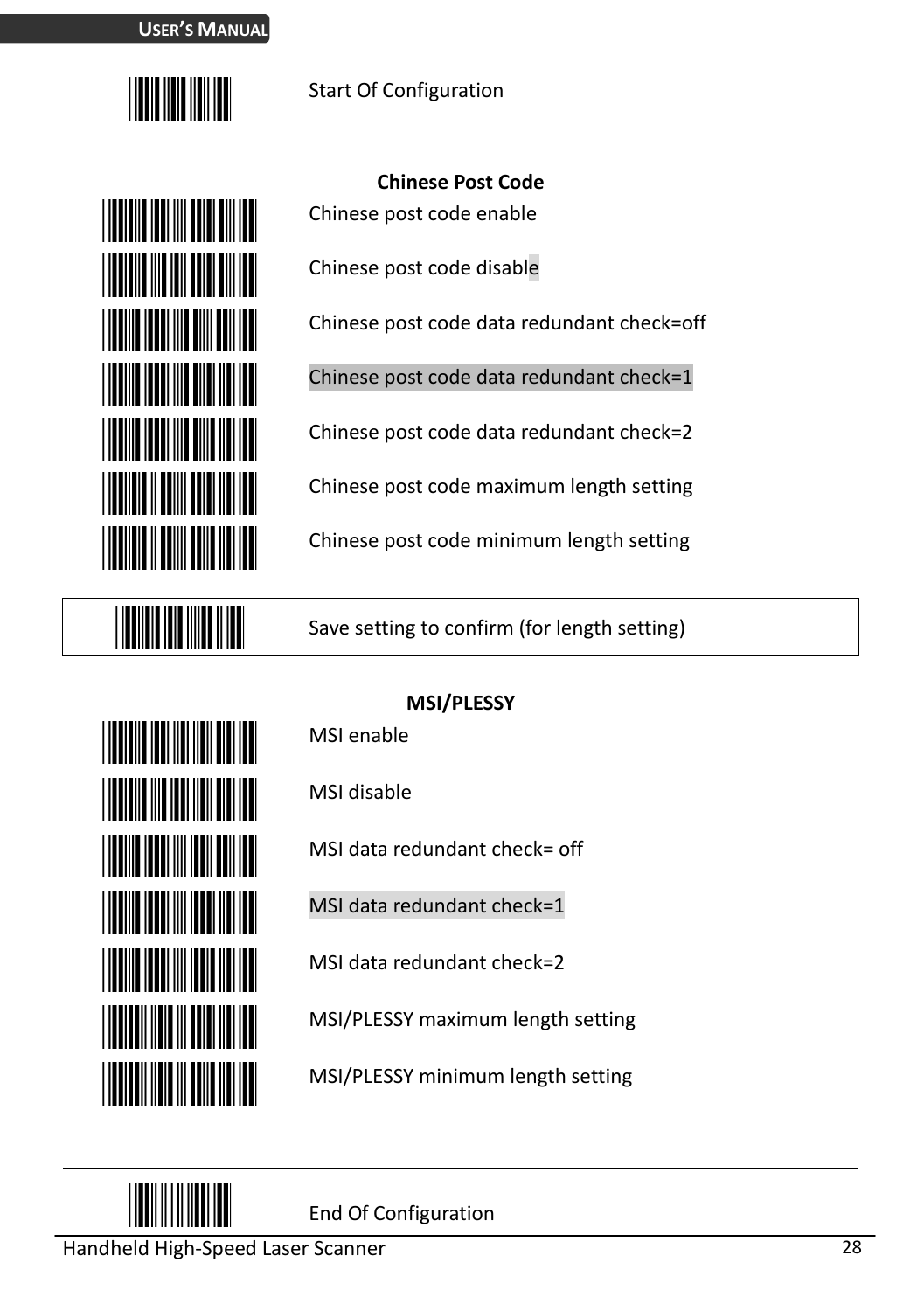

| <u>Manazarta (</u>                |
|-----------------------------------|
| <b>TERRITORIA</b>                 |
| <u>HIIKIN KONSTANTIIN K</u>       |
| <u>Hall Hall Hall</u>             |
|                                   |
| <b>TERRITORIA</b>                 |
| <b>THE REAL PROPERTY OF STATE</b> |

**THE REAL PROPERTY** 

#### **Chinese Post Code**

Chinese post code enable

Chinese post code disable

Chinese post code data redundant check=off

Chinese post code data redundant check=1

Chinese post code data redundant check=2

Chinese post code maximum length setting

Chinese post code minimum length setting

Save setting to confirm (for length setting)



**MSI/PLESSY**

MSI enable

MSI disable

MSI data redundant check= off

MSI data redundant check=1

MSI data redundant check=2

MSI/PLESSY maximum length setting

MSI/PLESSY minimum length setting

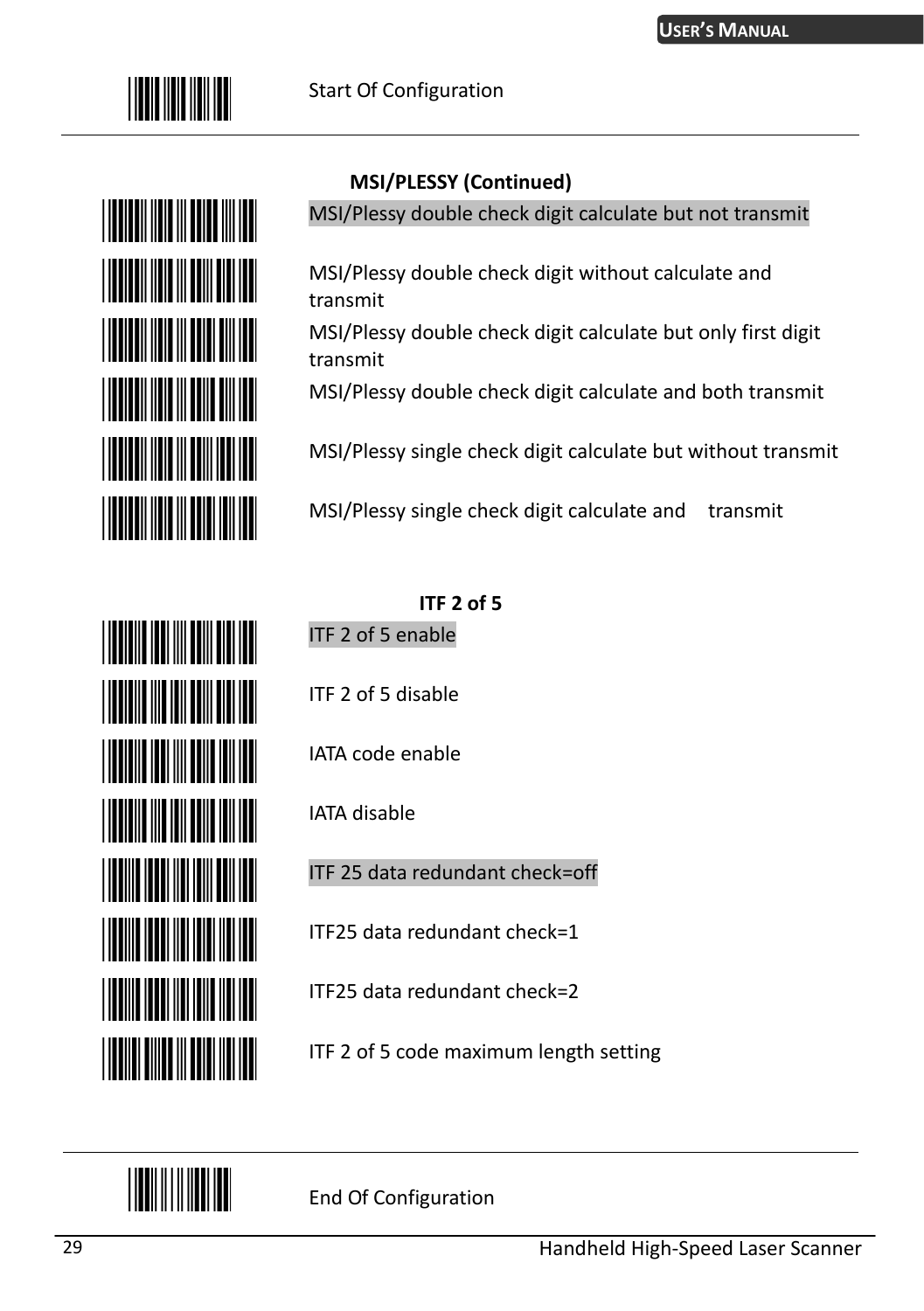



#### **MSI/PLESSY (Continued)**

MSI/Plessy double check digit calculate but not transmit

MSI/Plessy double check digit without calculate and transmit

MSI/Plessy double check digit calculate but only first digit transmit

MSI/Plessy double check digit calculate and both transmit

MSI/Plessy single check digit calculate but without transmit

MSI/Plessy single check digit calculate and transmit

#### **ITF 2 of 5**

ITF 2 of 5 enable

ITF 2 of 5 disable

IATA code enable

IATA disable

ITF 25 data redundant check=off

ITF25 data redundant check=1

ITF25 data redundant check=2

ITF 2 of 5 code maximum length setting



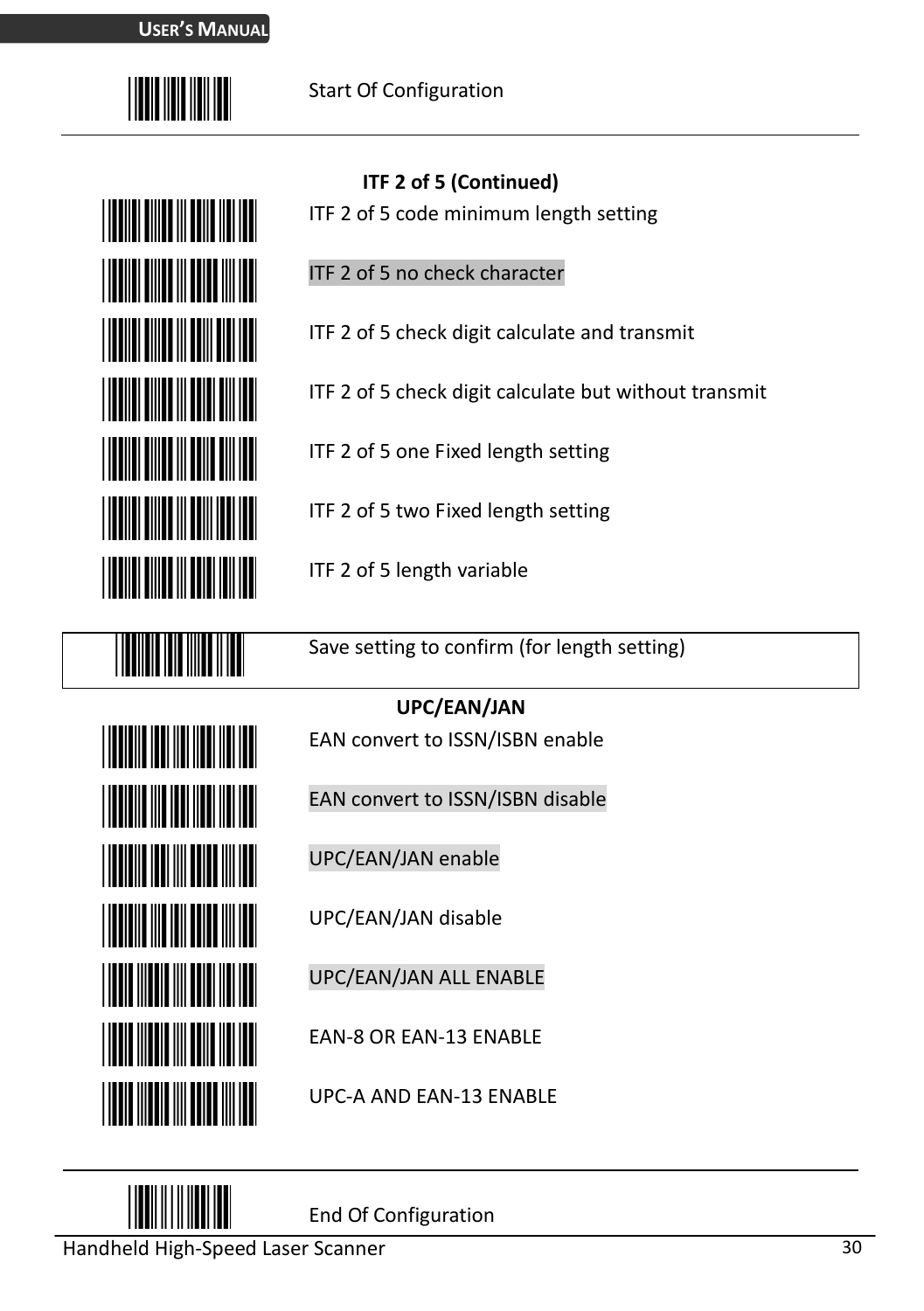

# <u>HIII HII HII HII HII</u> **THE REAL PROPERTY THE REAL PROPERTY** <u> Hillin Hillin</u> **THE REAL PROPERTY**

**THE TELEVISION** 

**THE REAL PROPERTY** 

**THE REAL PROPERTY** 

**THE REAL PROPERTY** 

**THE REAL PROPERTY OF A PROPERTY** 

**THE REAL PROPERTY** 

**THE REAL PROPERTY** 

#### **ITF 2 of 5 (Continued)**

- ITF 2 of 5 code minimum length setting
- ITF 2 of 5 no check character
- ITF 2 of 5 check digit calculate and transmit
- ITF 2 of 5 check digit calculate but without transmit
- ITF 2 of 5 one Fixed length setting
- ITF 2 of 5 two Fixed length setting
- ITF 2 of 5 length variable

Save setting to confirm (for length setting)

#### **UPC/EAN/JAN**

- EAN convert to ISSN/ISBN enable
- EAN convert to ISSN/ISBN disable
- UPC/EAN/JAN enable
- UPC/EAN/JAN disable
- UPC/EAN/JAN ALL ENABLE
- EAN-8 OR EAN-13 ENABLE

UPC-A AND EAN-13 ENABLE

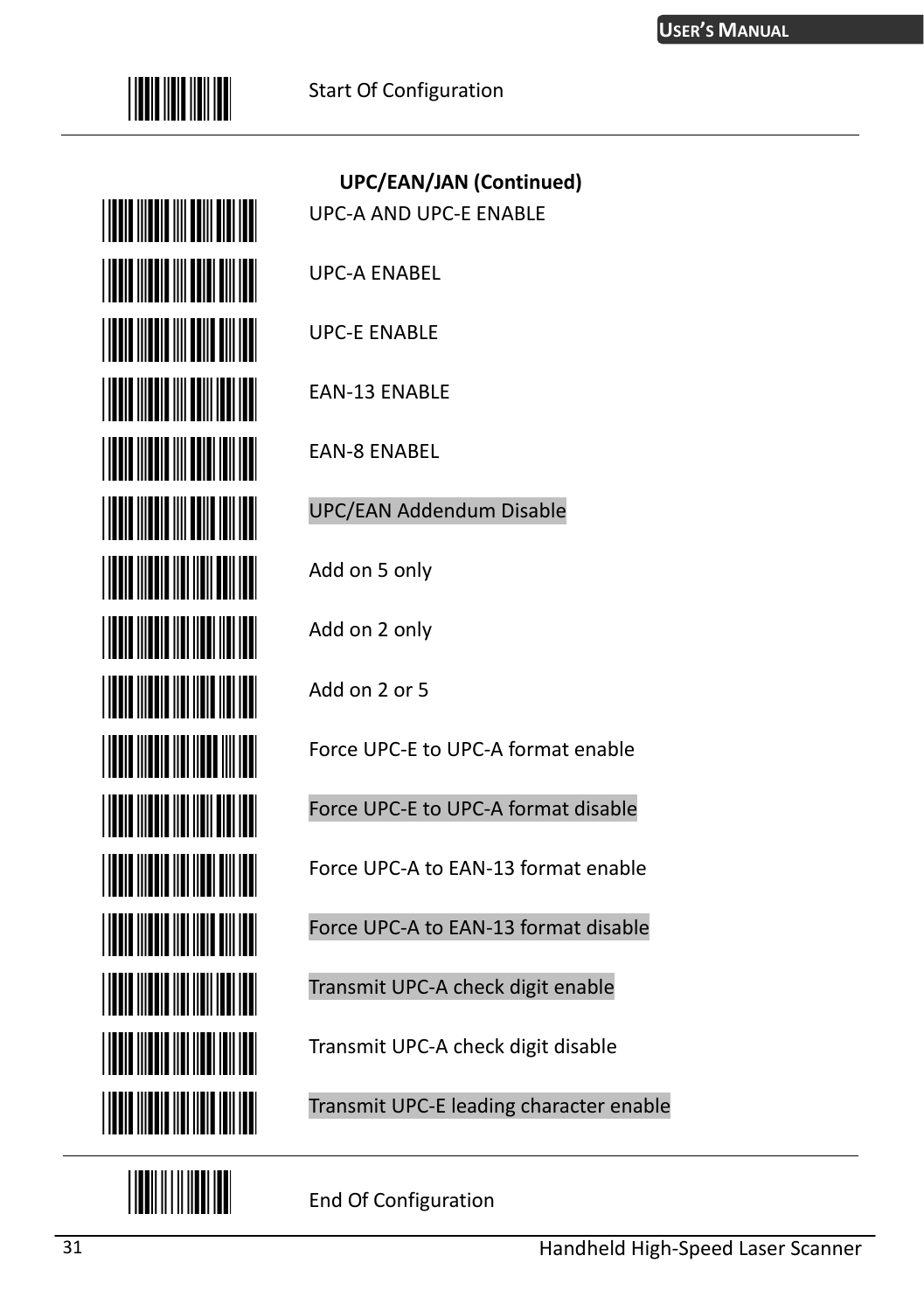



| <b>UPC/EAN/JAN (Continued)</b><br><b>UPC-A AND UPC-E ENABLE</b> |
|-----------------------------------------------------------------|
| <b>UPC-A ENABEL</b>                                             |
| <b>UPC-E ENABLE</b>                                             |
| EAN-13 ENABLE                                                   |
| EAN-8 ENABEL                                                    |
| UPC/EAN Addendum Disable                                        |
| Add on 5 only                                                   |
| Add on 2 only                                                   |
| Add on 2 or 5                                                   |
| Force UPC-E to UPC-A format enable                              |
| Force UPC-E to UPC-A format disable                             |
| Force UPC-A to EAN-13 format enable                             |
| Force UPC-A to EAN-13 format disable                            |
| Transmit UPC-A check digit enable                               |
| Transmit UPC-A check digit disable                              |

Transmit UPC-E leading character enable

End Of Configuration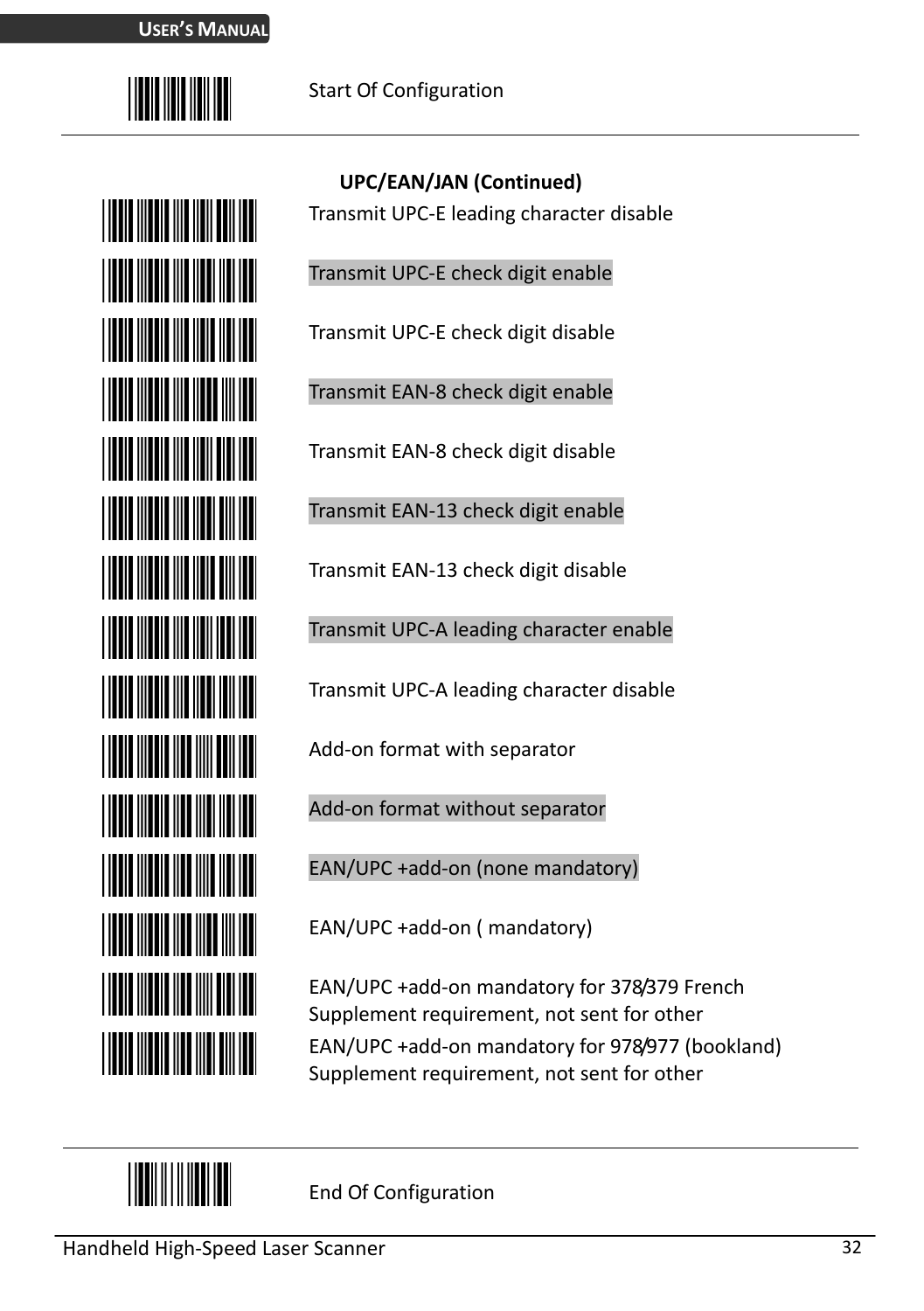



**UPC/EAN/JAN (Continued)** Transmit UPC-E leading character disable

Transmit UPC-E check digit enable

Transmit UPC-E check digit disable

Transmit EAN-8 check digit enable

Transmit EAN-8 check digit disable

Transmit EAN-13 check digit enable

Transmit EAN-13 check digit disable

Transmit UPC-A leading character enable

Transmit UPC-A leading character disable

Add-on format with separator

Add-on format without separator

EAN/UPC +add-on (none mandatory)

EAN/UPC +add-on ( mandatory)

EAN/UPC +add-on mandatory for 378/379 French Supplement requirement, not sent for other EAN/UPC +add-on mandatory for 978/977 (bookland) Supplement requirement, not sent for other

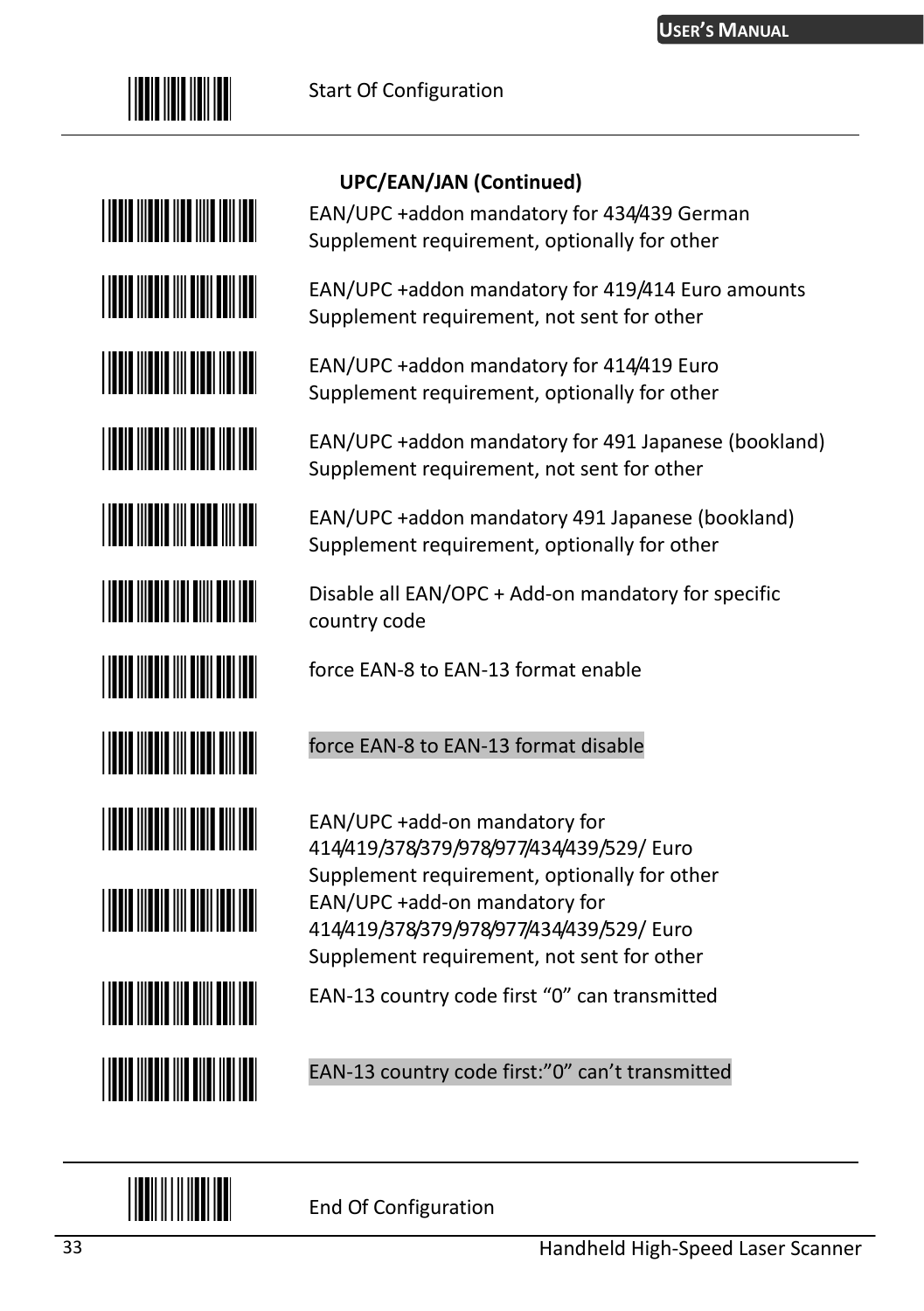

# **TITLE INTERNATIONAL PROPERTY THE REAL PROPERTY THE REAL PROPERTY** <u>HIII HIII HIII HIII HII</u> <u>HIII HIII HIII HIII HII</u> **THE REAL PROPERTY** <u>HIII HIII HIII HIII HII</u> <u>HIII HIII HIII HIII HII</u> **THE REAL PROPERTY THE REAL PROPERTY THE REAL PROPERTY THE REAL PROPERTY OF A**

#### **UPC/EAN/JAN (Continued)**

EAN/UPC +addon mandatory for 434/439 German Supplement requirement, optionally for other

EAN/UPC +addon mandatory for 419/414 Euro amounts Supplement requirement, not sent for other

EAN/UPC +addon mandatory for 414/419 Euro Supplement requirement, optionally for other

EAN/UPC +addon mandatory for 491 Japanese (bookland) Supplement requirement, not sent for other

EAN/UPC +addon mandatory 491 Japanese (bookland) Supplement requirement, optionally for other

Disable all EAN/OPC + Add-on mandatory for specific country code

force EAN-8 to EAN-13 format enable

#### force EAN-8 to EAN-13 format disable

EAN/UPC +add-on mandatory for 414/419/378/379/978/977/434/439/529/ Euro Supplement requirement, optionally for other EAN/UPC +add-on mandatory for 414/419/378/379/978/977/434/439/529/ Euro Supplement requirement, not sent for other

EAN-13 country code first "0" can transmitted

EAN-13 country code first:"0" can't transmitted

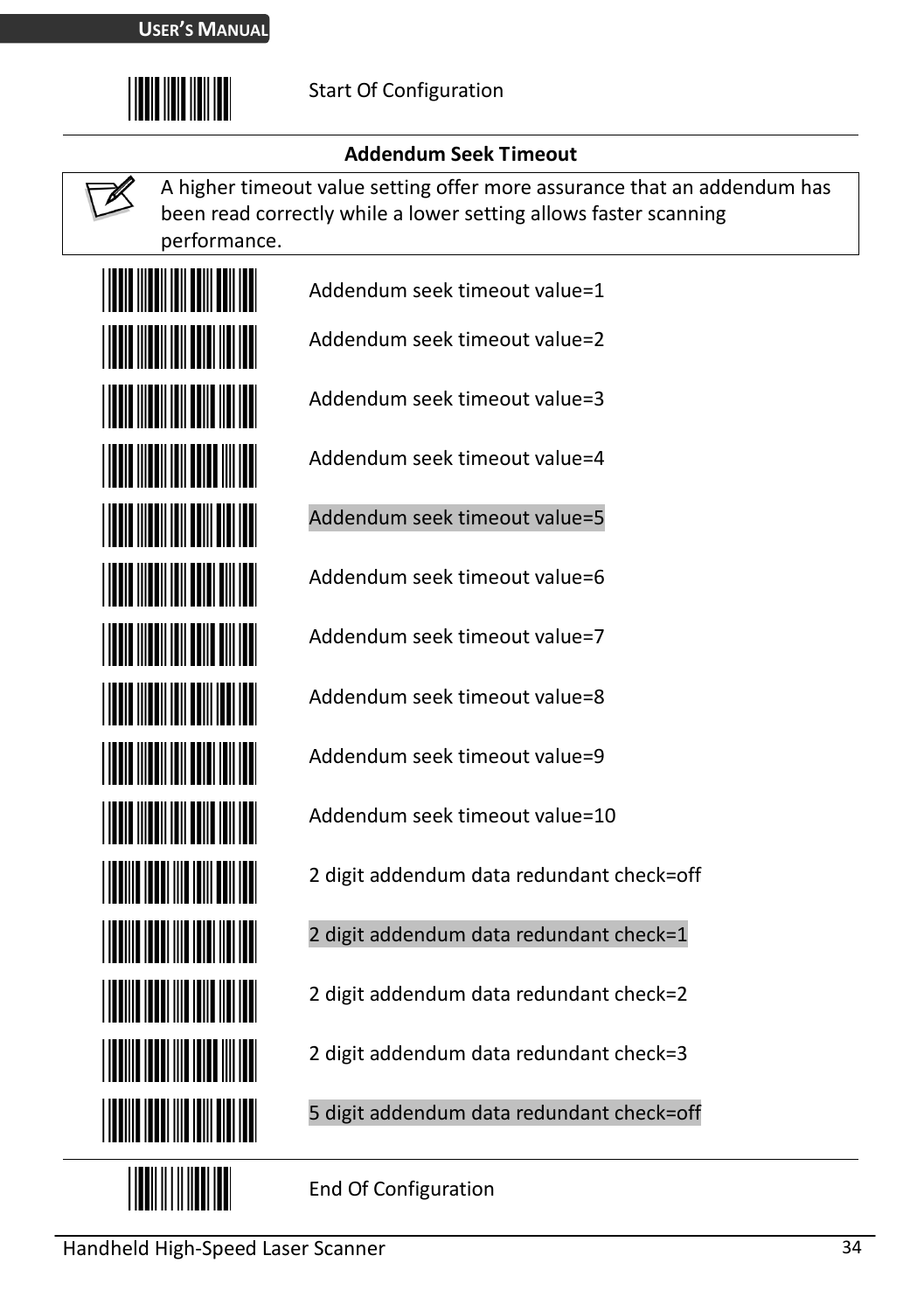

#### **Addendum Seek Timeout**

A higher timeout value setting offer more assurance that an addendum has been read correctly while a lower setting allows faster scanning performance.



Addendum seek timeout value=1

Addendum seek timeout value=2

Addendum seek timeout value=3

Addendum seek timeout value=4

Addendum seek timeout value=5

Addendum seek timeout value=6

Addendum seek timeout value=7

Addendum seek timeout value=8

Addendum seek timeout value=9

Addendum seek timeout value=10

2 digit addendum data redundant check=off

2 digit addendum data redundant check=1

2 digit addendum data redundant check=2

2 digit addendum data redundant check=3

5 digit addendum data redundant check=off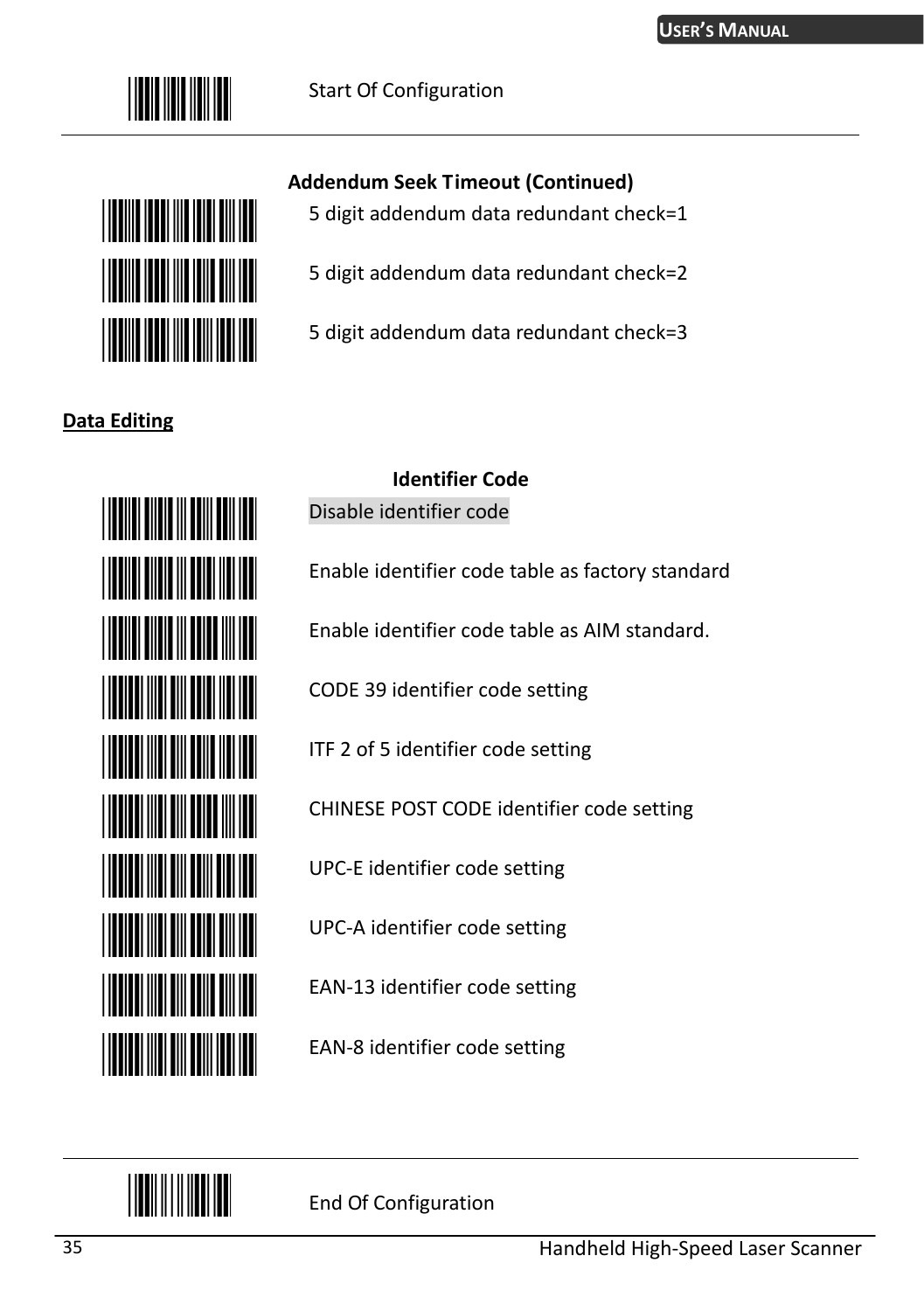



#### **Data Editing**



# **Addendum Seek Timeout (Continued)**

- 5 digit addendum data redundant check=1
	- 5 digit addendum data redundant check=2
- 5 digit addendum data redundant check=3

### **Identifier Code**

Disable identifier code

Enable identifier code table as factory standard

Enable identifier code table as AIM standard.

CODE 39 identifier code setting

ITF 2 of 5 identifier code setting

CHINESE POST CODE identifier code setting

UPC-E identifier code setting

UPC-A identifier code setting

EAN-13 identifier code setting

EAN-8 identifier code setting

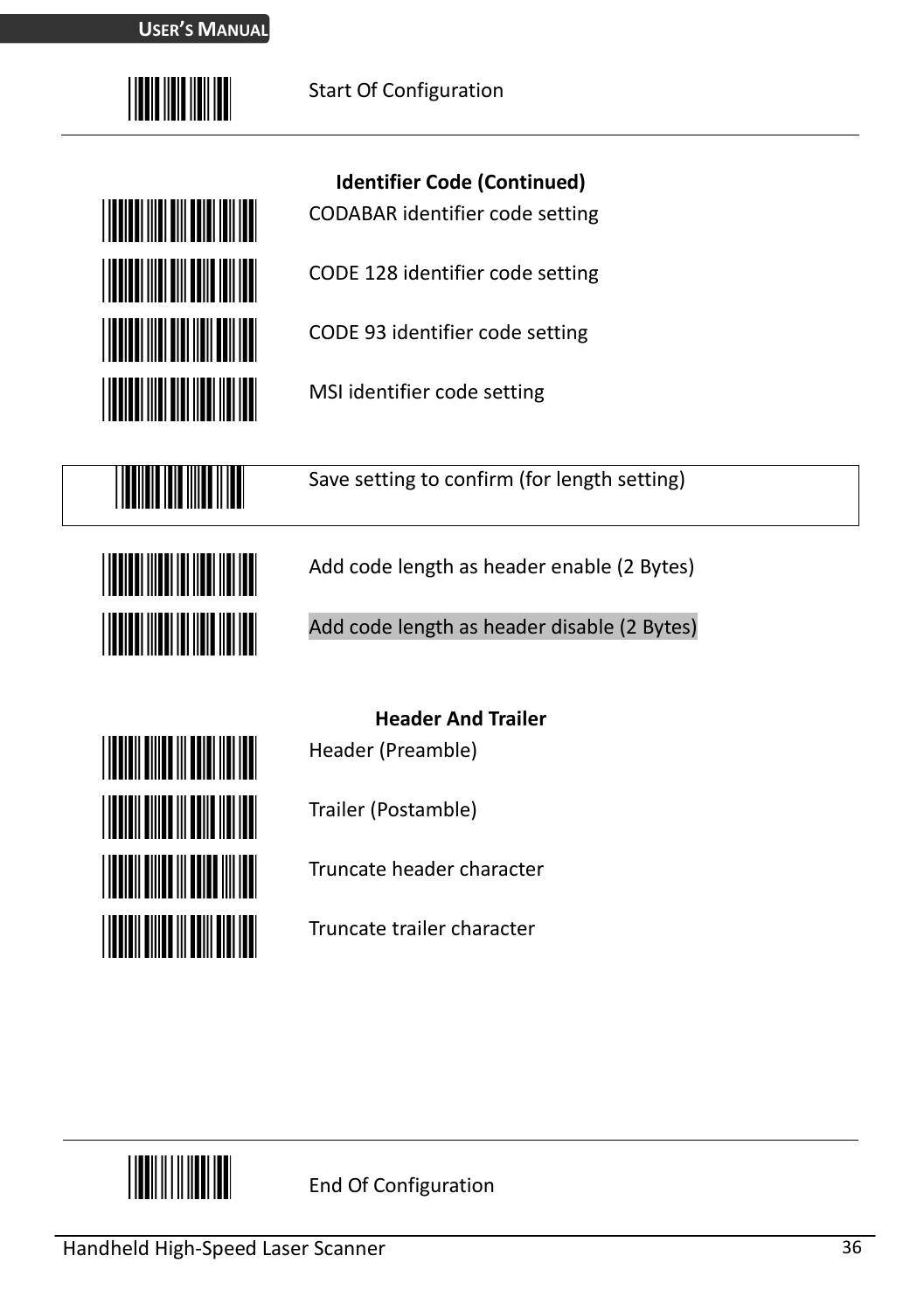



**Identifier Code (Continued)** 

CODABAR identifier code setting

CODE 128 identifier code setting

CODE 93 identifier code setting

MSI identifier code setting



Save setting to confirm (for length setting)



Add code length as header enable (2 Bytes)

Add code length as header disable (2 Bytes)



**Header And Trailer**  Header (Preamble)

Trailer (Postamble)

Truncate header character

Truncate trailer character

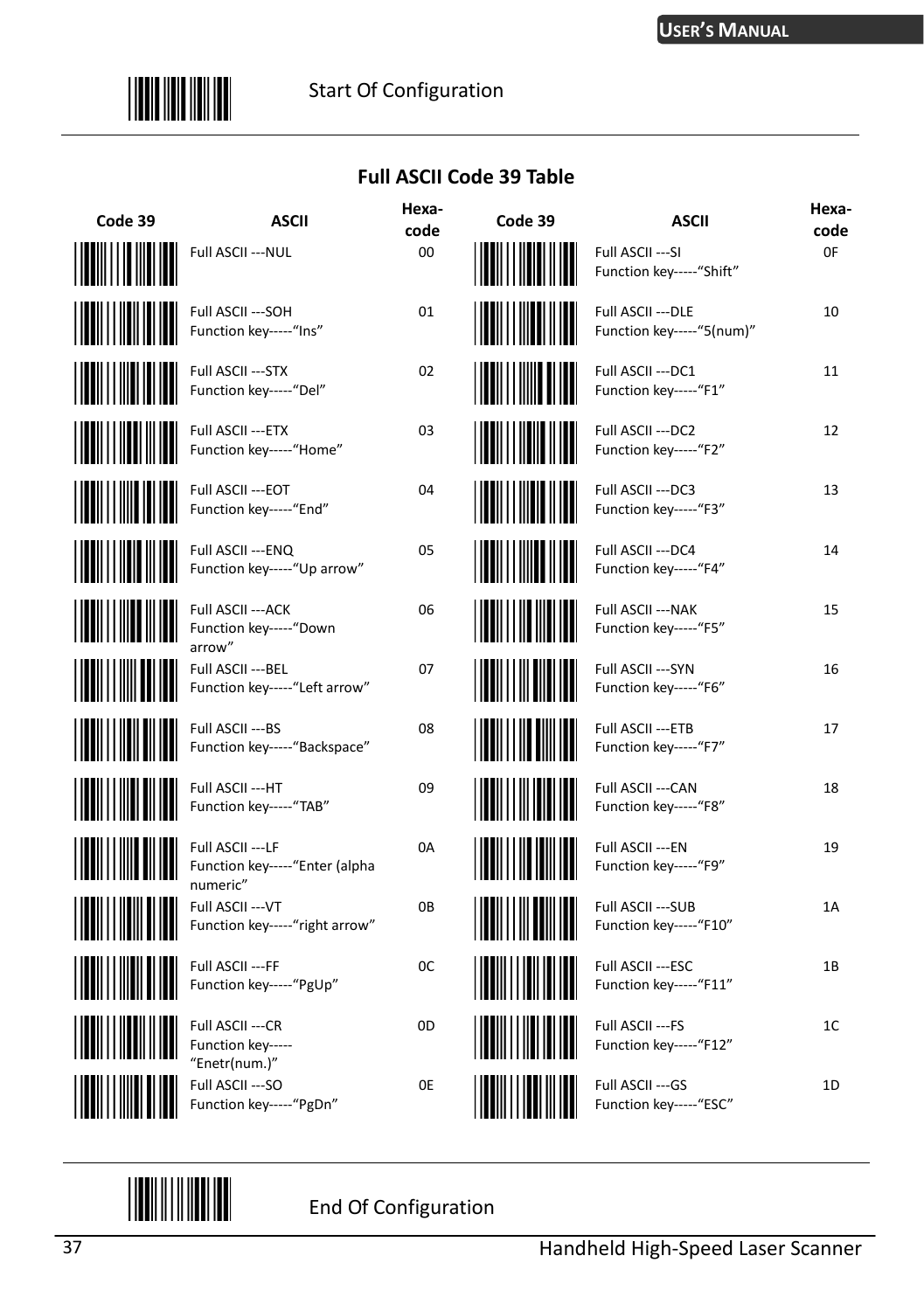

#### **Full ASCII Code 39 Table**

| Code 39                        | <b>ASCII</b>                                                    | Hexa-<br>code | Code 39                        | <b>ASCII</b>                                    | Hexa-<br>code |
|--------------------------------|-----------------------------------------------------------------|---------------|--------------------------------|-------------------------------------------------|---------------|
|                                | Full ASCII --- NUL                                              | 00            |                                | Full ASCII --- SI<br>Function key ----- "Shift" | 0F            |
|                                | Full ASCII --- SOH<br>Function key-----"Ins"                    | 01            |                                | Full ASCII --- DLE<br>Function key-----"5(num)" | 10            |
| <u>                       </u> | Full ASCII --- STX<br>Function key-----"Del"                    | 02            |                                | Full ASCII --- DC1<br>Function key-----"F1"     | 11            |
| <b>THE REAL PROPERTY</b>       | Full ASCII --- ETX<br>Function key-----"Home"                   | 03            |                                | Full ASCII --- DC2<br>Function key-----"F2"     | 12            |
| <u> Hilliam III (</u>          | Full ASCII --- EOT<br>Function key-----"End"                    | 04            |                                | Full ASCII --- DC3<br>Function key-----"F3"     | 13            |
| <b>WILLIAM</b>                 | Full ASCII --- ENQ<br>Function key-----"Up arrow"               | 05            | <u>                       </u> | Full ASCII --- DC4<br>Function key-----"F4"     | 14            |
| <u> Hillingin III </u>         | Full ASCII --- ACK<br>Function key-----"Down<br>arrow"          | 06            |                                | Full ASCII --- NAK<br>Function key-----"F5"     | 15            |
| <u>Hilli Hill</u>              | Full ASCII --- BEL<br>Function key-----"Left arrow"             | 07            |                                | Full ASCII --- SYN<br>Function key-----"F6"     | 16            |
| <u>HIIIIIIIII</u>              | Full ASCII ---BS<br>Function key-----"Backspace"                | 08            | WWW                            | Full ASCII --- ETB<br>Function key-----"F7"     | 17            |
| <u>Hill Hill</u>               | Full ASCII ---HT<br>Function key ----- "TAB"                    | 09            |                                | Full ASCII --- CAN<br>Function key-----"F8"     | 18            |
|                                | Full ASCII --- LF<br>Function key-----"Enter (alpha<br>numeric" | 0A            |                                | Full ASCII --- EN<br>Function key-----"F9"      | 19            |
| <u>HIIIIIIIIII</u>             | Full ASCII --- VT<br>Function key-----"right arrow"             | 0B            | <u> Hilli Hill</u>             | Full ASCII --- SUB<br>Function key ----- "F10"  | 1A            |
| <u> Hilli Hilli Hill</u>       | Full ASCII --- FF<br>Function key-----"PgUp"                    | 0C            | <u>                       </u> | Full ASCII --- ESC<br>Function key-----"F11"    | 1B            |
|                                | Full ASCII ---CR<br>Function key-----                           | 0D            | Ш                              | Full ASCII ---FS<br>Function key-----"F12"      | 1C            |
|                                | "Enetr(num.)"<br>Full ASCII --- SO<br>Function key-----"PgDn"   | 0E            |                                | Full ASCII --- GS<br>Function key-----"ESC"     | 1D            |

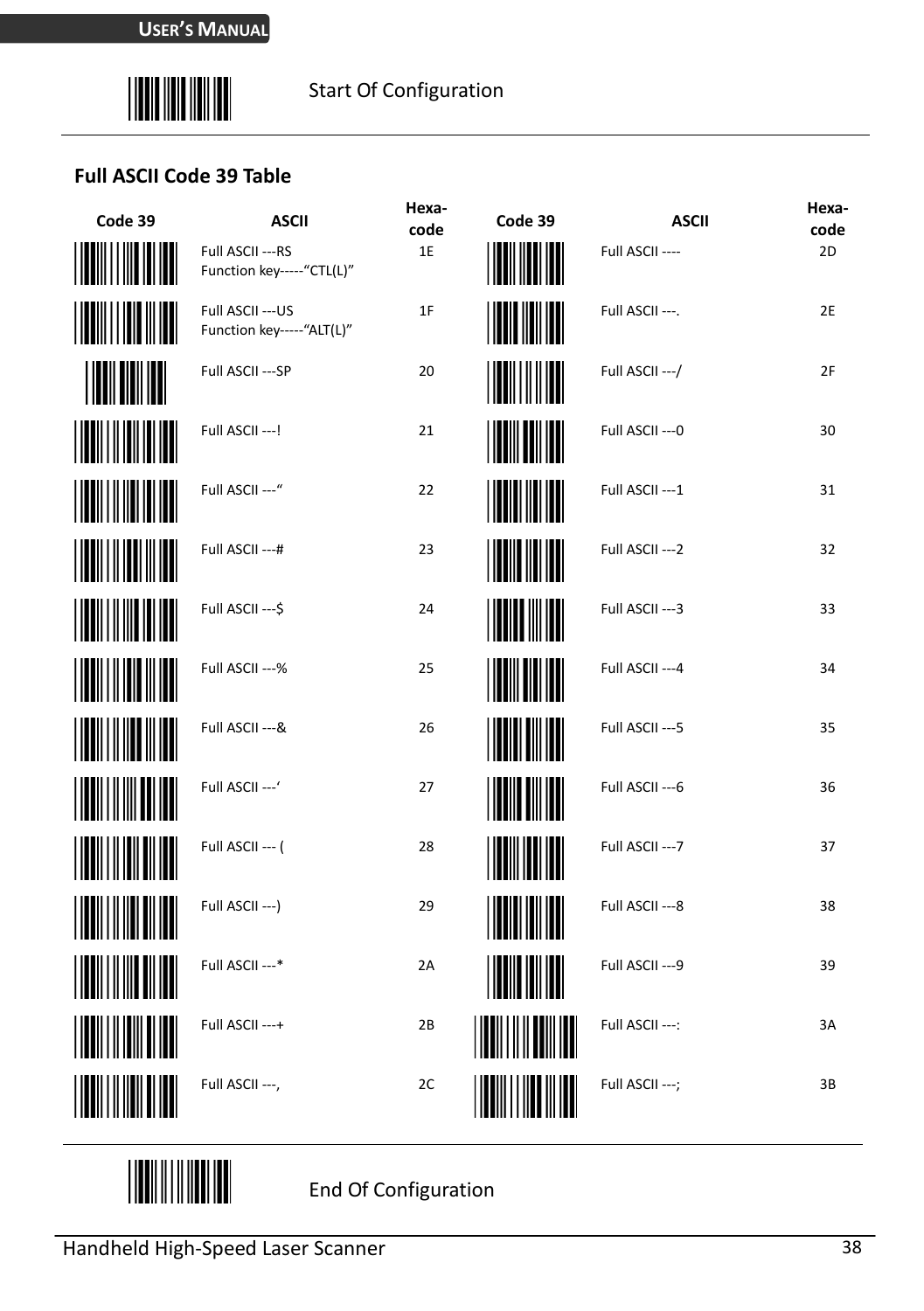

#### **Full ASCII Code 39 Table**

| Code 39                  | <b>ASCII</b>                                     | Hexa-<br>code | Code 39            | <b>ASCII</b>     | Hexa-<br>code |
|--------------------------|--------------------------------------------------|---------------|--------------------|------------------|---------------|
|                          | Full ASCII --- RS<br>Function key ----- "CTL(L)" | 1E            |                    | Full ASCII ----  | 2D            |
| <b>  </b>                | Full ASCII --- US<br>Function key ----- "ALT(L)" | 1F            | III IIII           | Full ASCII ---.  | 2E            |
| <b>INILIANI</b>          | Full ASCII --- SP                                | 20            |                    | Full ASCII --- / | 2F            |
| <u> Hill</u>             | Full ASCII ---!                                  | 21            |                    | Full ASCII --- 0 | 30            |
|                          | Full ASCII ---"                                  | 22            |                    | Full ASCII --- 1 | 31            |
|                          | Full ASCII ---#                                  | 23            |                    | Full ASCII --- 2 | 32            |
|                          | Full ASCII --- \$                                | 24            | <b>ill III III</b> | Full ASCII --- 3 | 33            |
| <u>                 </u> | Full ASCII ---%                                  | 25            |                    | Full ASCII --- 4 | 34            |
|                          | Full ASCII --- &                                 | 26            |                    | Full ASCII --- 5 | 35            |
|                          | Full ASCII ---'                                  | 27            |                    | Full ASCII --- 6 | 36            |
|                          | Full ASCII --- (                                 | 28            |                    | Full ASCII --- 7 | 37            |
|                          | Full ASCII --- )                                 | 29            | <b>HERE</b>        | Full ASCII --- 8 | 38            |
|                          | Full ASCII ---*                                  | 2A            |                    | Full ASCII --- 9 | 39            |
|                          | Full ASCII ---+                                  | 2B            |                    | Full ASCII ---:  | 3A            |
|                          | Full ASCII ---,                                  | 2C            |                    | Full ASCII ---;  | 3B            |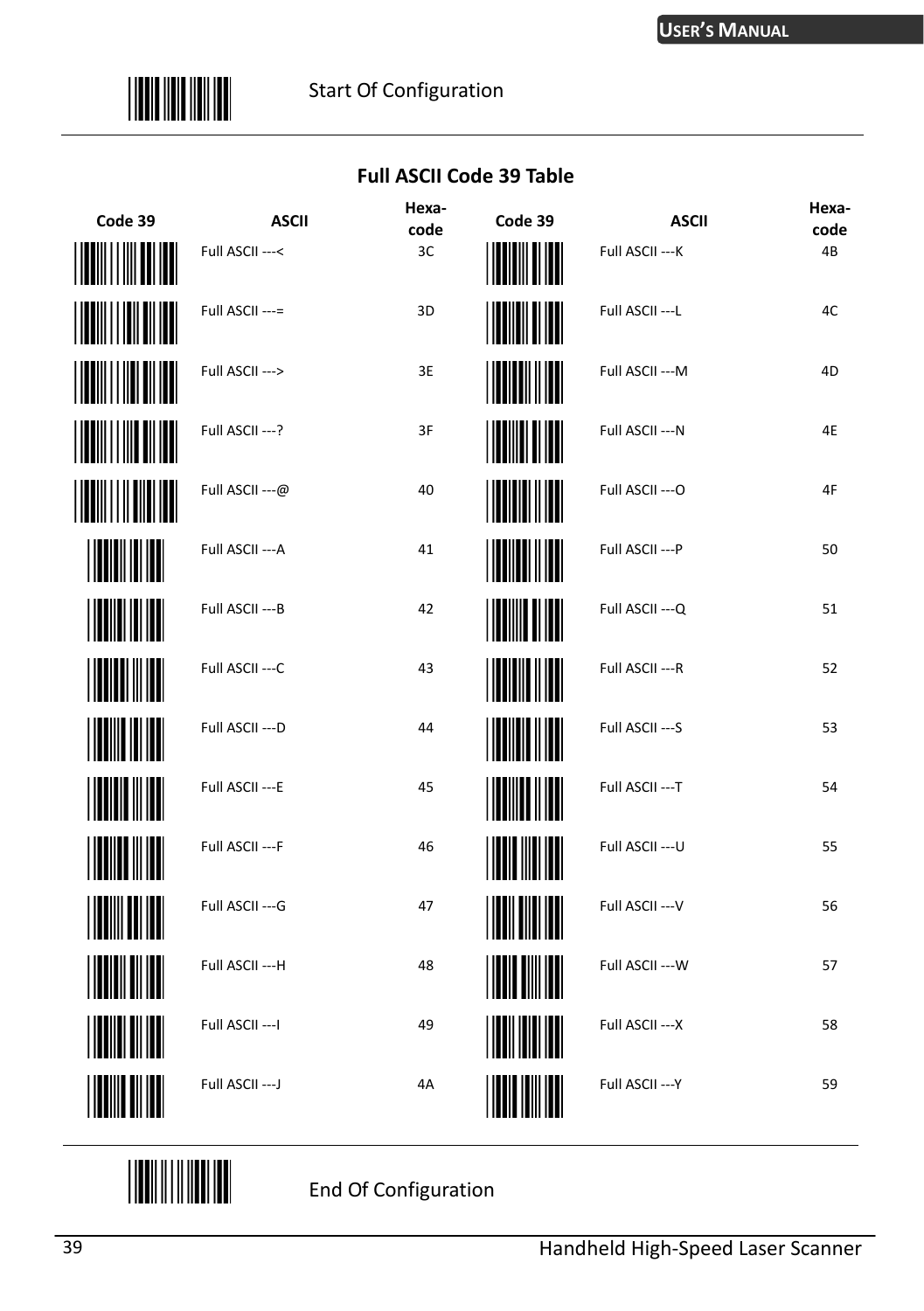

#### **Full ASCII Code 39 Table**

| Code 39               | <b>ASCII</b>     | Hexa-<br>code | Code 39               | <b>ASCII</b>     | Hexa-<br>code |
|-----------------------|------------------|---------------|-----------------------|------------------|---------------|
|                       | Full ASCII ---<  | 3C            |                       | Full ASCII --- K | 4B            |
| $\  \ \  \ \ $        | Full ASCII ---=  | 3D            | ( <b>         </b>    | Full ASCII --- L | 4C            |
|                       | Full ASCII --->  | 3E            | <b>              </b> | Full ASCII --- M | 4D            |
| <b>III</b> IIII IIII  | Full ASCII ---?  | 3F            | <b>              </b> | Full ASCII --- N | 4E            |
|                       | Full ASCII ---@  | 40            |                       | Full ASCII --- O | 4F            |
|                       | Full ASCII --- A | 41            | <b>WITH IT</b>        | Full ASCII --- P | 50            |
|                       | Full ASCII --- B | 42            | <b>THE REAL</b>       | Full ASCII --- Q | 51            |
|                       | Full ASCII --- C | 43            |                       | Full ASCII --- R | 52            |
| <b>THE TELEVISION</b> | Full ASCII --- D | 44            |                       | Full ASCII --- S | 53            |
| <b>THE REAL</b>       | Full ASCII --- E | 45            |                       | Full ASCII --- T | 54            |
| <b>HUILLE</b>         | Full ASCII --- F | 46            | <b>THE REAL</b>       | Full ASCII --- U | 55            |
|                       | Full ASCII --- G | 47            |                       | Full ASCII --- V | 56            |
| <b>THE REAL</b>       | Full ASCII --- H | 48            | <b>THE EXPERIENCE</b> | Full ASCII --- W | 57            |
|                       | Full ASCII --- I | 49            |                       | Full ASCII --- X | 58            |
| <b>IIIIIIIIIIIII</b>  | Full ASCII --- J | 4A            |                       | Full ASCII --- Y | 59            |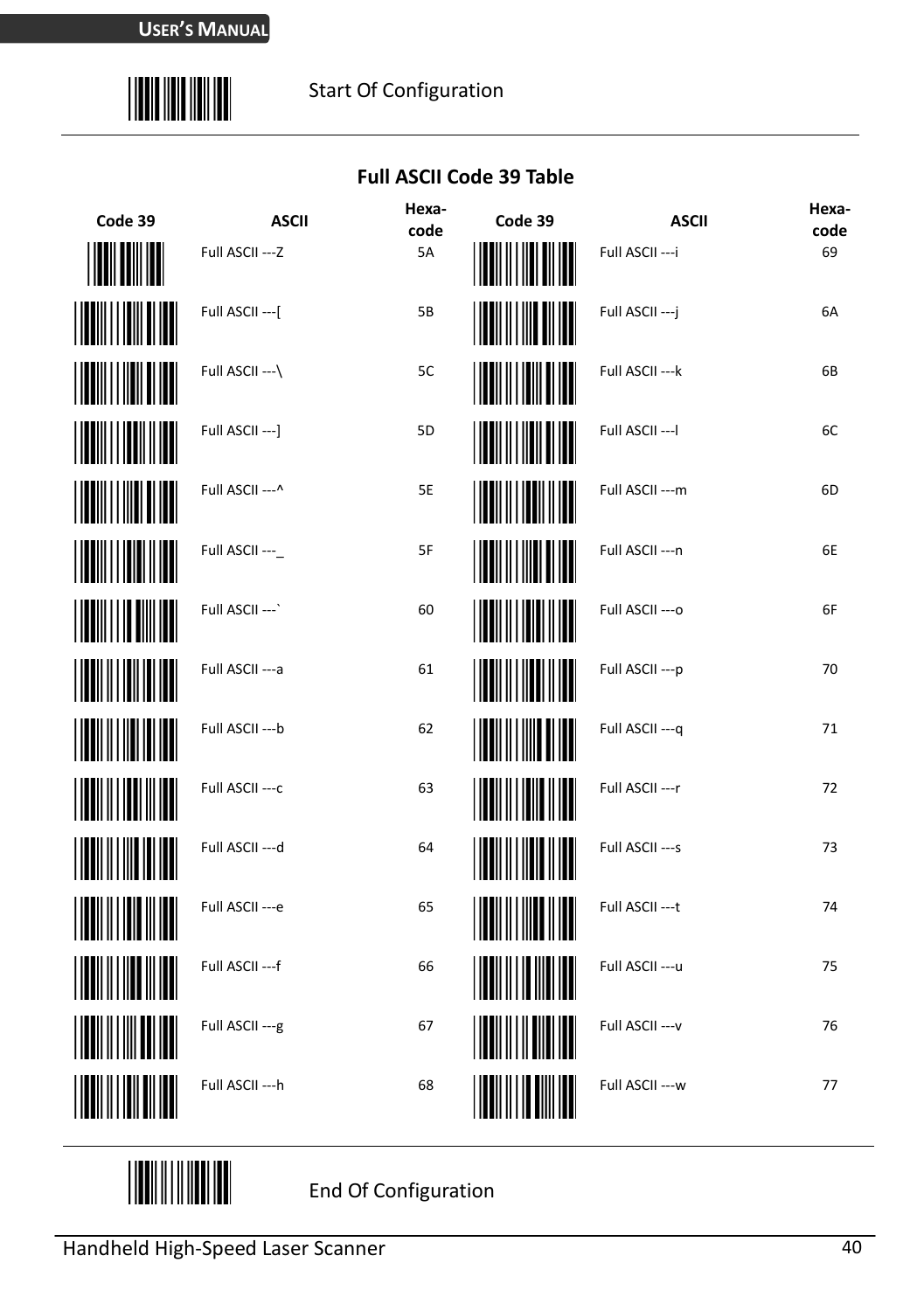

#### **Full ASCII Code 39 Table**

| Code 39   | <b>ASCII</b>     | Hexa-<br>code  | Code 39                | <b>ASCII</b>     | Hexa-<br>code |
|-----------|------------------|----------------|------------------------|------------------|---------------|
|           | Full ASCII --- Z | 5A             |                        | Full ASCII --- i | 69            |
|           | Full ASCII --- [ | 5B             |                        | Full ASCII --- j | 6A            |
|           | Full ASCII --- \ | 5C             |                        | Full ASCII --- k | 6B            |
|           | Full ASCII --- ] | 5 <sub>D</sub> |                        | Full ASCII --- I | 6C            |
|           | Full ASCII --- ^ | 5E             | <u>               </u> | Full ASCII --- m | 6D            |
|           | Full ASCII ---   | 5F             |                        | Full ASCII --- n | 6E            |
| <b>  </b> | Full ASCII --- ` | 60             | <u> Hillilli</u>       | Full ASCII --- o | 6F            |
|           | Full ASCII --- a | 61             |                        | Full ASCII --- p | 70            |
|           | Full ASCII --- b | 62             | <br>                   | Full ASCII --- q | 71            |
|           | Full ASCII --- c | 63             | <u> Harristan Sa</u>   | Full ASCII --- r | 72            |
|           | Full ASCII --- d | 64             |                        | Full ASCII --- s | 73            |
|           | Full ASCII --- e | 65             | <u>HIII HIII HII</u>   | Full ASCII --- t | 74            |
|           | Full ASCII --- f | 66             |                        | Full ASCII --- u | 75            |
|           | Full ASCII --- g | 67             |                        | Full ASCII --- v | 76            |
|           | Full ASCII --- h | 68             |                        | Full ASCII --- w | 77            |